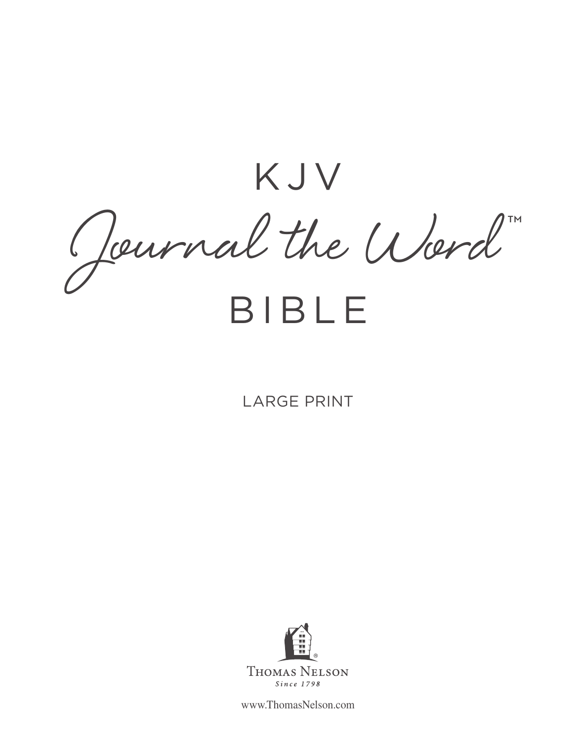KJV Journal the Word ™

## BIBLE

## LARGE PRINT



www.ThomasNelson.com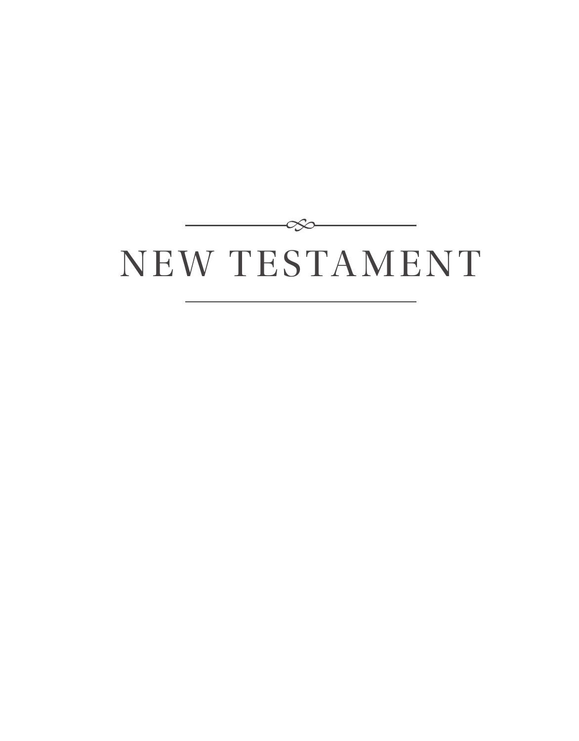# NEW TESTAMENT

-050

 $\frac{1}{2} \left( \frac{1}{2} \right) \left( \frac{1}{2} \right) \left( \frac{1}{2} \right) \left( \frac{1}{2} \right) \left( \frac{1}{2} \right) \left( \frac{1}{2} \right) \left( \frac{1}{2} \right) \left( \frac{1}{2} \right) \left( \frac{1}{2} \right) \left( \frac{1}{2} \right) \left( \frac{1}{2} \right) \left( \frac{1}{2} \right) \left( \frac{1}{2} \right) \left( \frac{1}{2} \right) \left( \frac{1}{2} \right) \left( \frac{1}{2} \right) \left( \frac$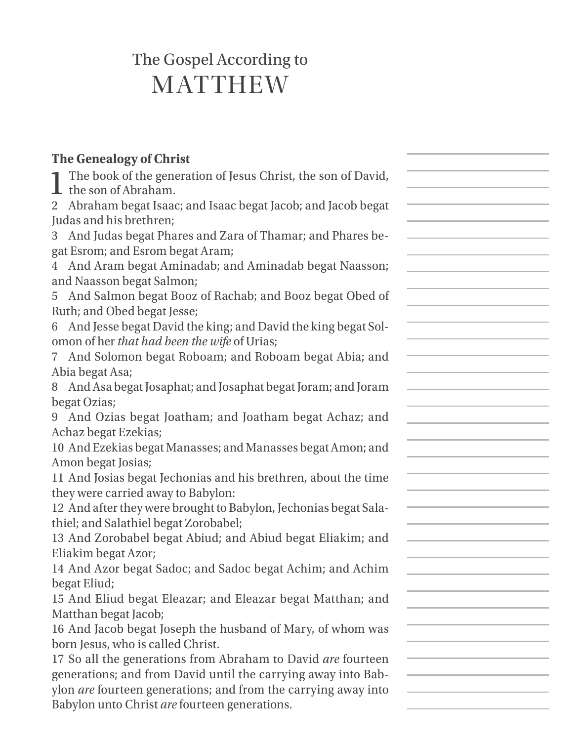## The Gospel According to MATTHEW

## **The Genealogy of Christ**

| The book of the generation of Jesus Christ, the son of David,<br>the son of Abraham. |  |
|--------------------------------------------------------------------------------------|--|
| 2 Abraham begat Isaac; and Isaac begat Jacob; and Jacob begat                        |  |
| Judas and his brethren;                                                              |  |
| 3 And Judas begat Phares and Zara of Thamar; and Phares be-                          |  |
| gat Esrom; and Esrom begat Aram;                                                     |  |
| 4 And Aram begat Aminadab; and Aminadab begat Naasson;                               |  |
| and Naasson begat Salmon;                                                            |  |
| 5 And Salmon begat Booz of Rachab; and Booz begat Obed of                            |  |
| Ruth; and Obed begat Jesse;                                                          |  |
| 6 And Jesse begat David the king; and David the king begat Sol-                      |  |
| omon of her that had been the wife of Urias;                                         |  |
| And Solomon begat Roboam; and Roboam begat Abia; and                                 |  |
| Abia begat Asa;                                                                      |  |
| And Asa begat Josaphat; and Josaphat begat Joram; and Joram<br>8.                    |  |
| begat Ozias;                                                                         |  |
| 9 And Ozias begat Joatham; and Joatham begat Achaz; and                              |  |
| Achaz begat Ezekias;                                                                 |  |
| 10 And Ezekias begat Manasses; and Manasses begat Amon; and                          |  |
| Amon begat Josias;                                                                   |  |
| 11 And Josias begat Jechonias and his brethren, about the time                       |  |
| they were carried away to Babylon:                                                   |  |
| 12 And after they were brought to Babylon, Jechonias begat Sala-                     |  |
| thiel; and Salathiel begat Zorobabel;                                                |  |
| 13 And Zorobabel begat Abiud; and Abiud begat Eliakim; and                           |  |
| Eliakim begat Azor;                                                                  |  |
| 14 And Azor begat Sadoc; and Sadoc begat Achim; and Achim                            |  |
| begat Eliud;                                                                         |  |
| 15 And Eliud begat Eleazar; and Eleazar begat Matthan; and                           |  |
| Matthan begat Jacob;                                                                 |  |
| 16 And Jacob begat Joseph the husband of Mary, of whom was                           |  |
| born Jesus, who is called Christ.                                                    |  |
| 17 So all the generations from Abraham to David are fourteen                         |  |
| generations; and from David until the carrying away into Bab-                        |  |
| ylon are fourteen generations; and from the carrying away into                       |  |
| Babylon unto Christ are fourteen generations.                                        |  |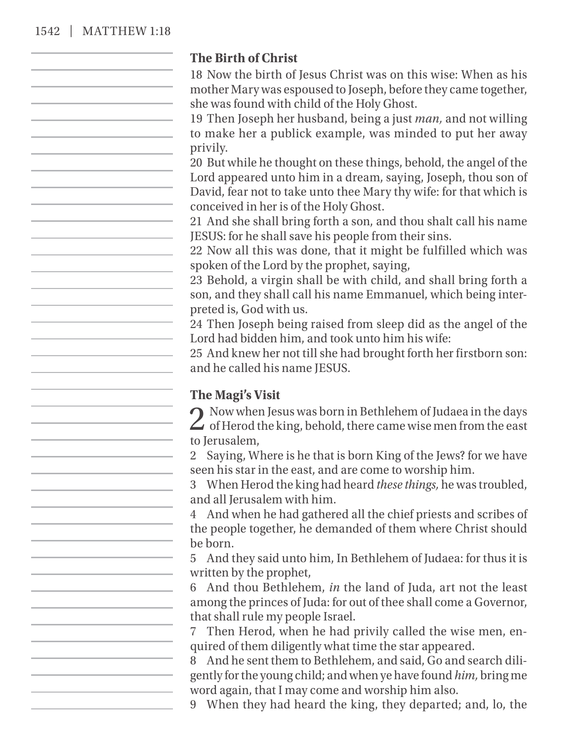#### 1542 | MATTHEW 1:18

#### **The Birth of Christ**

18 Now the birth of Jesus Christ was on this wise: When as his mother Mary was espoused to Joseph, before they came together, she was found with child of the Holy Ghost.

19 Then Joseph her husband, being a just *man,* and not willing to make her a publick example, was minded to put her away privily.

20 But while he thought on these things, behold, the angel of the Lord appeared unto him in a dream, saying, Joseph, thou son of David, fear not to take unto thee Mary thy wife: for that which is conceived in her is of the Holy Ghost.

21 And she shall bring forth a son, and thou shalt call his name JESUS: for he shall save his people from their sins.

22 Now all this was done, that it might be fulfilled which was spoken of the Lord by the prophet, saying,

23 Behold, a virgin shall be with child, and shall bring forth a son, and they shall call his name Emmanuel, which being interpreted is, God with us.

24 Then Joseph being raised from sleep did as the angel of the Lord had bidden him, and took unto him his wife:

25 And knew her not till she had brought forth her firstborn son: and he called his name JESUS.

### **The Magi's Visit**

2 Now when Jesus was born in Bethlehem of Judaea in the days<br>of Herod the king, behold, there came wise men from the east to Jerusalem,

2 Saying, Where is he that is born King of the Jews? for we have seen his star in the east, and are come to worship him.

3 When Herod the king had heard *these things,* he was troubled, and all Jerusalem with him.

4 And when he had gathered all the chief priests and scribes of the people together, he demanded of them where Christ should be born.

5 And they said unto him, In Bethlehem of Judaea: for thus it is written by the prophet,

6 And thou Bethlehem, *in* the land of Juda, art not the least among the princes of Juda: for out of thee shall come a Governor, that shall rule my people Israel.

7 Then Herod, when he had privily called the wise men, enquired of them diligently what time the star appeared.

8 And he sent them to Bethlehem, and said, Go and search diligently for the young child; and when ye have found *him,* bring me word again, that I may come and worship him also.

9 When they had heard the king, they departed; and, lo, the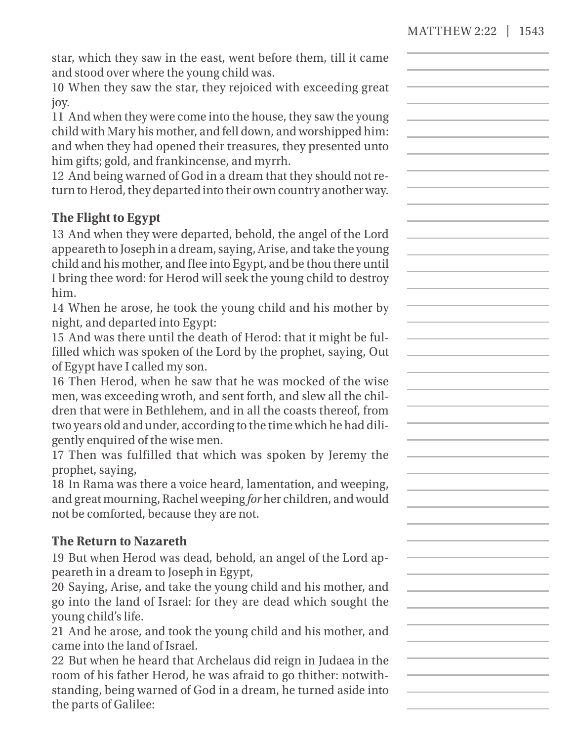star, which they saw in the east, went before them, till it came and stood over where the young child was.

10 When they saw the star, they rejoiced with exceeding great joy.

11 And when they were come into the house, they saw the young child with Mary his mother, and fell down, and worshipped him: and when they had opened their treasures, they presented unto him gifts; gold, and frankincense, and myrrh.

12 And being warned of God in a dream that they should not return to Herod, they departed into their own country another way.

## **The Flight to Egypt**

13 And when they were departed, behold, the angel of the Lord appeareth to Joseph in a dream, saying, Arise, and take the young child and his mother, and flee into Egypt, and be thou there until I bring thee word: for Herod will seek the young child to destroy him.

14 When he arose, he took the young child and his mother by night, and departed into Egypt:

15 And was there until the death of Herod: that it might be fulfilled which was spoken of the Lord by the prophet, saying, Out of Egypt have I called my son.

16 Then Herod, when he saw that he was mocked of the wise men, was exceeding wroth, and sent forth, and slew all the children that were in Bethlehem, and in all the coasts thereof, from two years old and under, according to the time which he had diligently enquired of the wise men.

17 Then was fulfilled that which was spoken by Jeremy the prophet, saying,

18 In Rama was there a voice heard, lamentation, and weeping, and great mourning, Rachel weeping *for* her children, and would not be comforted, because they are not.

## **The Return to Nazareth**

19 But when Herod was dead, behold, an angel of the Lord appeareth in a dream to Joseph in Egypt,

20 Saying, Arise, and take the young child and his mother, and go into the land of Israel: for they are dead which sought the young child's life.

21 And he arose, and took the young child and his mother, and came into the land of Israel.

22 But when he heard that Archelaus did reign in Judaea in the room of his father Herod, he was afraid to go thither: notwithstanding, being warned of God in a dream, he turned aside into the parts of Galilee: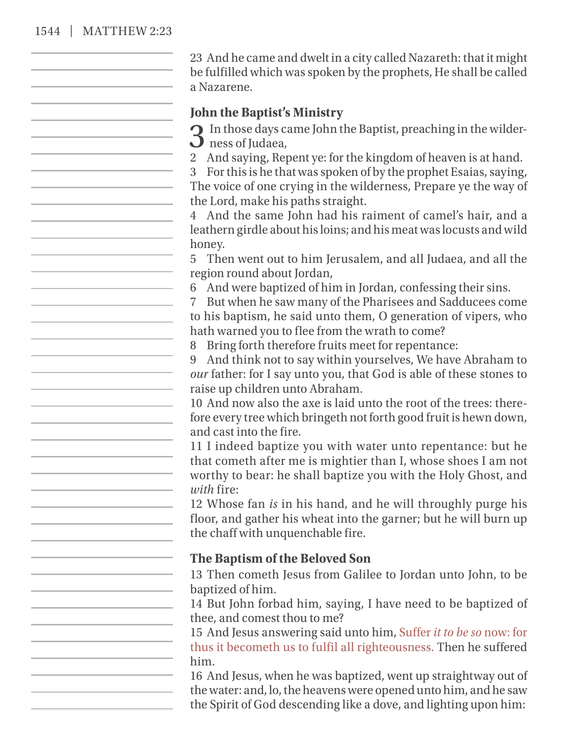#### 1544 | MATTHEW 2:23

23 And he came and dwelt in a city called Nazareth: that it might be fulfilled which was spoken by the prophets, He shall be called a Nazarene.

#### **John the Baptist's Ministry**

 $\bigcap$  In those days came John the Baptist, preaching in the wilder- $\mathbf{\mathcal{D}}$  ness of Judaea,

2 And saying, Repent ye: for the kingdom of heaven is at hand.

3 For this is he that was spoken of by the prophet Esaias, saying, The voice of one crying in the wilderness, Prepare ye the way of the Lord, make his paths straight.

4 And the same John had his raiment of camel's hair, and a leathern girdle about his loins; and his meat was locusts and wild honey.

5 Then went out to him Jerusalem, and all Judaea, and all the region round about Jordan,

6 And were baptized of him in Jordan, confessing their sins.

7 But when he saw many of the Pharisees and Sadducees come to his baptism, he said unto them, O generation of vipers, who hath warned you to flee from the wrath to come?

8 Bring forth therefore fruits meet for repentance:

9 And think not to say within yourselves, We have Abraham to *our* father: for I say unto you, that God is able of these stones to raise up children unto Abraham.

10 And now also the axe is laid unto the root of the trees: therefore every tree which bringeth not forth good fruit is hewn down, and cast into the fire.

11 I indeed baptize you with water unto repentance: but he that cometh after me is mightier than I, whose shoes I am not worthy to bear: he shall baptize you with the Holy Ghost, and *with* fire:

12 Whose fan *is* in his hand, and he will throughly purge his floor, and gather his wheat into the garner; but he will burn up the chaff with unquenchable fire.

#### **The Baptism of the Beloved Son**

13 Then cometh Jesus from Galilee to Jordan unto John, to be baptized of him.

14 But John forbad him, saying, I have need to be baptized of thee, and comest thou to me?

15 And Jesus answering said unto him, Suffer *it to be so* now: for thus it becometh us to fulfil all righteousness. Then he suffered him.

16 And Jesus, when he was baptized, went up straightway out of the water: and, lo, the heavens were opened unto him, and he saw the Spirit of God descending like a dove, and lighting upon him: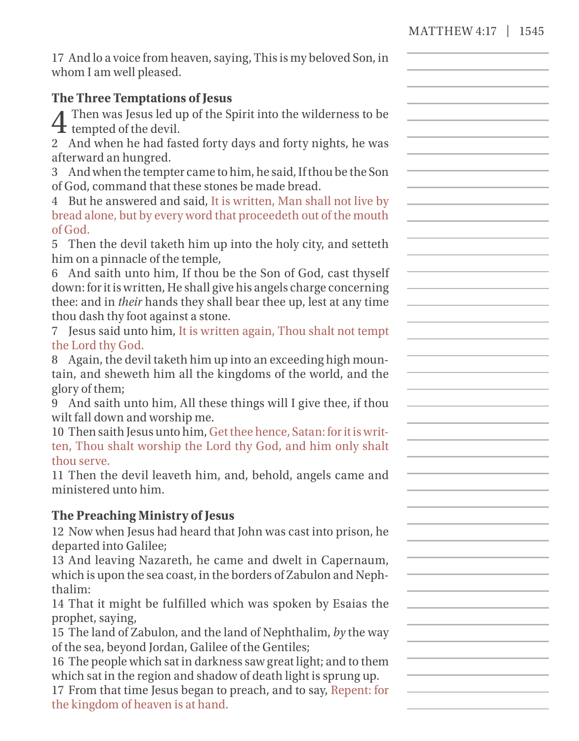| 17 And lo a voice from heaven, saying, This is my beloved Son, in |  |
|-------------------------------------------------------------------|--|
| whom I am well pleased.                                           |  |

## **The Three Temptations of Jesus**

4 Then was Jesus led up of the Spirit into the wilderness to be  $\mathbf{\dot{\pm}}$  tempted of the devil.

2 And when he had fasted forty days and forty nights, he was afterward an hungred.

3 And when the tempter came to him, he said, If thou be the Son of God, command that these stones be made bread.

4 But he answered and said, It is written, Man shall not live by bread alone, but by every word that proceedeth out of the mouth of God.

5 Then the devil taketh him up into the holy city, and setteth him on a pinnacle of the temple,

6 And saith unto him, If thou be the Son of God, cast thyself down: for it is written, He shall give his angels charge concerning thee: and in *their* hands they shall bear thee up, lest at any time thou dash thy foot against a stone.

7 Jesus said unto him, It is written again, Thou shalt not tempt the Lord thy God.

8 Again, the devil taketh him up into an exceeding high mountain, and sheweth him all the kingdoms of the world, and the glory of them;

9 And saith unto him, All these things will I give thee, if thou wilt fall down and worship me.

10 Then saith Jesus unto him, Get thee hence, Satan: for it is written, Thou shalt worship the Lord thy God, and him only shalt thou serve.

11 Then the devil leaveth him, and, behold, angels came and ministered unto him.

## **The Preaching Ministry of Jesus**

12 Now when Jesus had heard that John was cast into prison, he departed into Galilee;

13 And leaving Nazareth, he came and dwelt in Capernaum, which is upon the sea coast, in the borders of Zabulon and Nephthalim:

14 That it might be fulfilled which was spoken by Esaias the prophet, saying,

15 The land of Zabulon, and the land of Nephthalim, *by* the way of the sea, beyond Jordan, Galilee of the Gentiles;

16 The people which sat in darkness saw great light; and to them which sat in the region and shadow of death light is sprung up.

17 From that time Jesus began to preach, and to say, Repent: for the kingdom of heaven is at hand.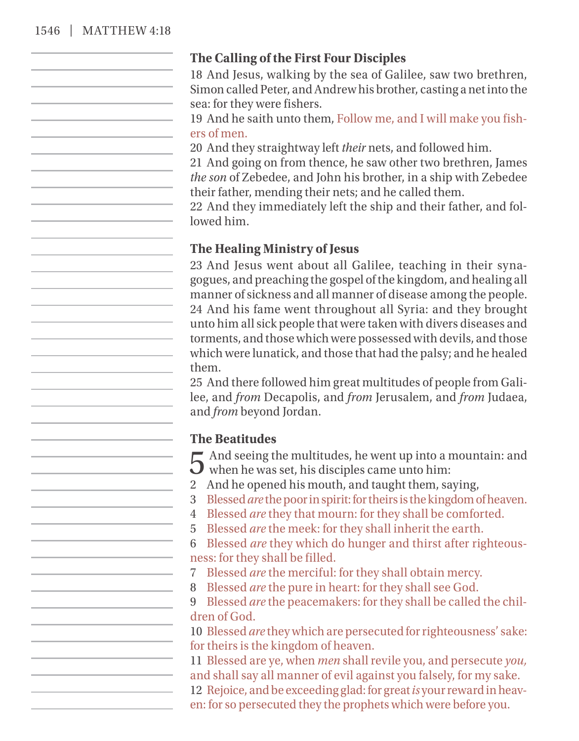#### 1546 | MATTHEW 4:18

## **The Calling of the First Four Disciples**

18 And Jesus, walking by the sea of Galilee, saw two brethren, Simon called Peter, and Andrew his brother, casting a net into the sea: for they were fishers.

19 And he saith unto them, Follow me, and I will make you fishers of men.

20 And they straightway left *their* nets, and followed him.

21 And going on from thence, he saw other two brethren, James *the son* of Zebedee, and John his brother, in a ship with Zebedee their father, mending their nets; and he called them.

22 And they immediately left the ship and their father, and followed him.

#### **The Healing Ministry of Jesus**

23 And Jesus went about all Galilee, teaching in their synagogues, and preaching the gospel of the kingdom, and healing all manner of sickness and all manner of disease among the people. 24 And his fame went throughout all Syria: and they brought unto him all sick people that were taken with divers diseases and torments, and those which were possessed with devils, and those which were lunatick, and those that had the palsy; and he healed them.

25 And there followed him great multitudes of people from Galilee, and *from* Decapolis, and *from* Jerusalem, and *from* Judaea, and *from* beyond Jordan.

#### **The Beatitudes**

 $\Gamma$  And seeing the multitudes, he went up into a mountain: and  $\bigcup$  when he was set, his disciples came unto him:

2 And he opened his mouth, and taught them, saying,

3 Blessed*are* the poor in spirit: for theirs is the kingdom of heaven.

4 Blessed *are* they that mourn: for they shall be comforted.

5 Blessed *are* the meek: for they shall inherit the earth.

6 Blessed *are* they which do hunger and thirst after righteousness: for they shall be filled.

7 Blessed *are* the merciful: for they shall obtain mercy.

8 Blessed *are* the pure in heart: for they shall see God.

9 Blessed *are* the peacemakers: for they shall be called the children of God.

10 Blessed *are* they which are persecuted for righteousness' sake: for theirs is the kingdom of heaven.

11 Blessed are ye, when *men* shall revile you, and persecute *you,* and shall say all manner of evil against you falsely, for my sake.

12 Rejoice, and be exceeding glad: for great*is* your reward in heav-

en: for so persecuted they the prophets which were before you.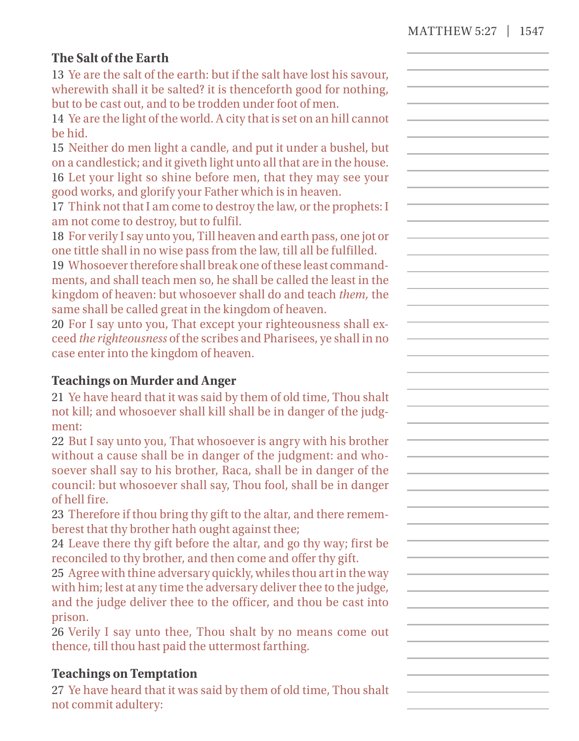## **The Salt of the Earth**

13 Ye are the salt of the earth: but if the salt have lost his savour, wherewith shall it be salted? it is thenceforth good for nothing. but to be cast out, and to be trodden under foot of men.

14 Ye are the light of the world. A city that is set on an hill cannot be hid.

15 Neither do men light a candle, and put it under a bushel, but on a candlestick; and it giveth light unto all that are in the house. 16 Let your light so shine before men, that they may see your good works, and glorify your Father which is in heaven.

17 Think not that I am come to destroy the law, or the prophets: I am not come to destroy, but to fulfil.

18 For verily I say unto you, Till heaven and earth pass, one jot or one tittle shall in no wise pass from the law, till all be fulfilled.

19 Whosoever therefore shall break one of these least commandments, and shall teach men so, he shall be called the least in the kingdom of heaven: but whosoever shall do and teach *them,* the same shall be called great in the kingdom of heaven.

20 For I say unto you, That except your righteousness shall exceed *the righteousness* of the scribes and Pharisees, ye shall in no case enter into the kingdom of heaven.

## **Teachings on Murder and Anger**

21 Ye have heard that it was said by them of old time, Thou shalt not kill; and whosoever shall kill shall be in danger of the judgment:

22 But I say unto you, That whosoever is angry with his brother without a cause shall be in danger of the judgment: and whosoever shall say to his brother, Raca, shall be in danger of the council: but whosoever shall say, Thou fool, shall be in danger of hell fire.

23 Therefore if thou bring thy gift to the altar, and there rememberest that thy brother hath ought against thee;

24 Leave there thy gift before the altar, and go thy way; first be reconciled to thy brother, and then come and offer thy gift.

25 Agree with thine adversary quickly, whiles thou art in the way with him; lest at any time the adversary deliver thee to the judge, and the judge deliver thee to the officer, and thou be cast into prison.

26 Verily I say unto thee, Thou shalt by no means come out thence, till thou hast paid the uttermost farthing.

#### **Teachings on Temptation**

27 Ye have heard that it was said by them of old time, Thou shalt not commit adultery: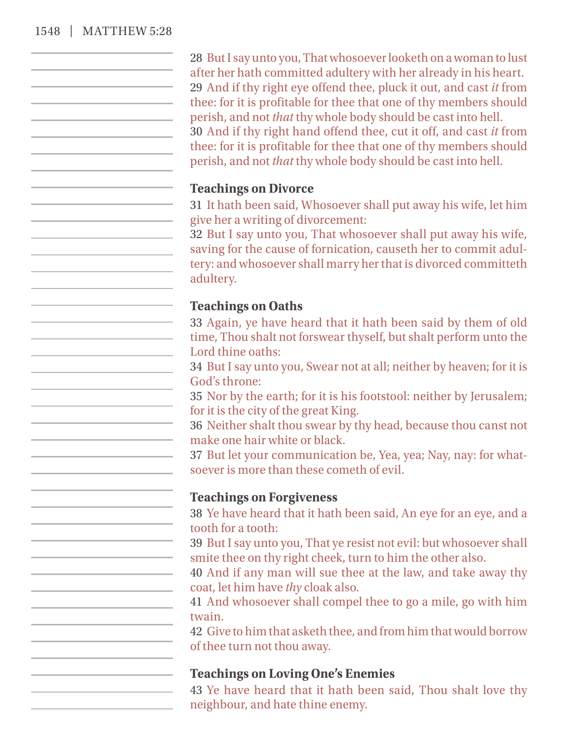#### 1548 | MATTHEW 5:28

28 But I say unto you, That whosoeverlooketh on a woman to lust after her hath committed adultery with her already in his heart. 29 And if thy right eye offend thee, pluck it out, and cast *it* from thee: for it is profitable for thee that one of thy members should perish, and not *that* thy whole body should be cast into hell. 30 And if thy right hand offend thee, cut it off, and cast *it* from thee: for it is profitable for thee that one of thy members should perish, and not *that* thy whole body should be cast into hell.

#### **Teachings on Divorce**

31 It hath been said, Whosoever shall put away his wife, let him give her a writing of divorcement:

32 But I say unto you, That whosoever shall put away his wife, saving for the cause of fornication, causeth her to commit adultery: and whosoever shall marry her that is divorced committeth adultery.

#### **Teachings on Oaths**

33 Again, ye have heard that it hath been said by them of old time, Thou shalt not forswear thyself, but shalt perform unto the Lord thine oaths:

34 But I say unto you, Swear not at all; neither by heaven; for it is God's throne:

35 Nor by the earth; for it is his footstool: neither by Jerusalem; for it is the city of the great King.

36 Neither shalt thou swear by thy head, because thou canst not make one hair white or black.

37 But let your communication be, Yea, yea; Nay, nay: for whatsoever is more than these cometh of evil.

#### **Teachings on Forgiveness**

38 Ye have heard that it hath been said, An eye for an eye, and a tooth for a tooth:

39 But I say unto you, That ye resist not evil: but whosoever shall smite thee on thy right cheek, turn to him the other also.

40 And if any man will sue thee at the law, and take away thy coat, let him have *thy* cloak also.

41 And whosoever shall compel thee to go a mile, go with him twain.

42 Give to him that asketh thee, and from him that would borrow of thee turn not thou away.

## **Teachings on Loving One's Enemies**

43 Ye have heard that it hath been said, Thou shalt love thy neighbour, and hate thine enemy.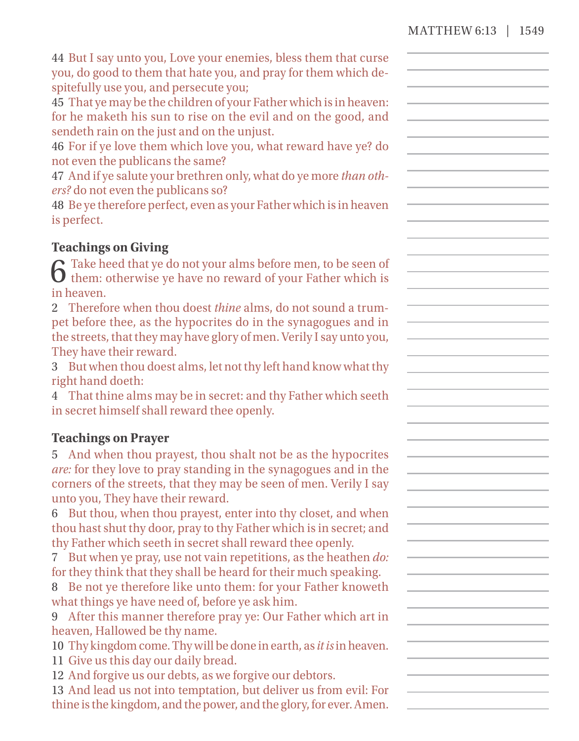44 But I say unto you, Love your enemies, bless them that curse you, do good to them that hate you, and pray for them which despitefully use you, and persecute you;

45 That ye may be the children of your Father which is in heaven: for he maketh his sun to rise on the evil and on the good, and sendeth rain on the just and on the unjust.

46 For if ye love them which love you, what reward have ye? do not even the publicans the same?

47 And if ye salute your brethren only, what do ye more *than others?* do not even the publicans so?

48 Be ye therefore perfect, even as your Father which is in heaven is perfect.

## **Teachings on Giving**

 $\bf{6}$  Take heed that ye do not your alms before men, to be seen of them: otherwise ye have no reward of your Father which is in heaven.

2 Therefore when thou doest *thine* alms, do not sound a trumpet before thee, as the hypocrites do in the synagogues and in the streets, that they may have glory of men. Verily I say unto you, They have their reward.

3 But when thou doest alms, let not thy left hand know what thy right hand doeth:

4 That thine alms may be in secret: and thy Father which seeth in secret himself shall reward thee openly.

#### **Teachings on Prayer**

5 And when thou prayest, thou shalt not be as the hypocrites *are:* for they love to pray standing in the synagogues and in the corners of the streets, that they may be seen of men. Verily I say unto you, They have their reward.

6 But thou, when thou prayest, enter into thy closet, and when thou hast shut thy door, pray to thy Father which is in secret; and thy Father which seeth in secret shall reward thee openly.

7 But when ye pray, use not vain repetitions, as the heathen *do:* for they think that they shall be heard for their much speaking.

8 Be not ye therefore like unto them: for your Father knoweth what things ye have need of, before ye ask him.

9 After this manner therefore pray ye: Our Father which art in heaven, Hallowed be thy name.

10 Thy kingdom come.Thy will be done in earth, as *it is*in heaven. 11 Give us this day our daily bread.

12 And forgive us our debts, as we forgive our debtors.

13 And lead us not into temptation, but deliver us from evil: For thine is the kingdom, and the power, and the glory, for ever. Amen.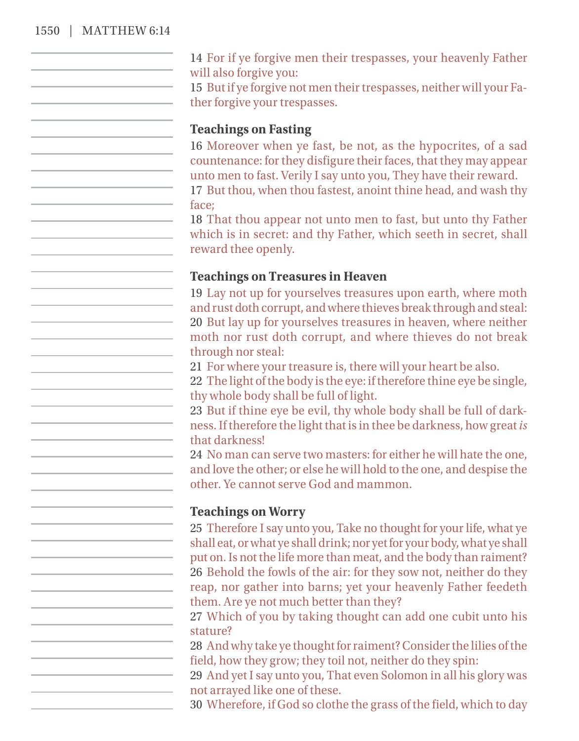#### 1550 | MATTHEW 6:14

14 For if ye forgive men their trespasses, your heavenly Father will also forgive you:

15 But if ye forgive not men their trespasses, neither will your Father forgive your trespasses.

#### **Teachings on Fasting**

16 Moreover when ye fast, be not, as the hypocrites, of a sad countenance: for they disfigure their faces, that they may appear unto men to fast. Verily I say unto you, They have their reward.

17 But thou, when thou fastest, anoint thine head, and wash thy face;

18 That thou appear not unto men to fast, but unto thy Father which is in secret: and thy Father, which seeth in secret, shall reward thee openly.

### **Teachings on Treasures in Heaven**

19 Lay not up for yourselves treasures upon earth, where moth and rust doth corrupt, and where thieves break through and steal: 20 But lay up for yourselves treasures in heaven, where neither moth nor rust doth corrupt, and where thieves do not break through nor steal:

21 For where your treasure is, there will your heart be also.

22 The light of the body is the eye: if therefore thine eye be single, thy whole body shall be full of light.

23 But if thine eye be evil, thy whole body shall be full of darkness. If therefore the light that is in thee be darkness, how great *is* that darkness!

24 No man can serve two masters: for either he will hate the one, and love the other; or else he will hold to the one, and despise the other. Ye cannot serve God and mammon.

#### **Teachings on Worry**

25 Therefore I say unto you, Take no thought for your life, what ye shall eat, or what ye shall drink; nor yet for your body, what ye shall put on. Is not the life more than meat, and the body than raiment? 26 Behold the fowls of the air: for they sow not, neither do they reap, nor gather into barns; yet your heavenly Father feedeth them. Are ye not much better than they?

27 Which of you by taking thought can add one cubit unto his stature?

28 And why take ye thought for raiment? Consider the lilies of the field, how they grow; they toil not, neither do they spin:

29 And yet I say unto you, That even Solomon in all his glory was not arrayed like one of these.

30 Wherefore, if God so clothe the grass of the field, which to day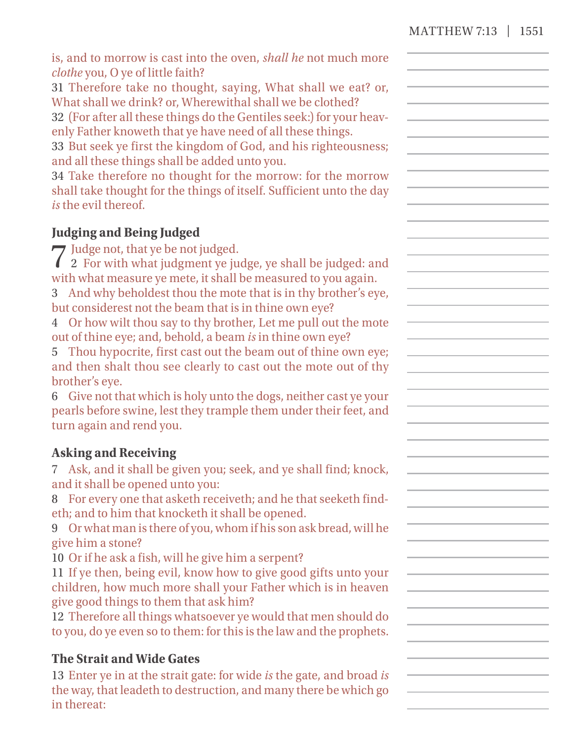|                                   |  |  | is, and to morrow is cast into the oven, <i>shall he</i> not much more |
|-----------------------------------|--|--|------------------------------------------------------------------------|
| clothe you, O ye of little faith? |  |  |                                                                        |

31 Therefore take no thought, saying, What shall we eat? or, What shall we drink? or, Wherewithal shall we be clothed?

32 (For after all these things do the Gentiles seek:) for your heavenly Father knoweth that ye have need of all these things.

33 But seek ye first the kingdom of God, and his righteousness; and all these things shall be added unto you.

34 Take therefore no thought for the morrow: for the morrow shall take thought for the things of itself. Sufficient unto the day *is* the evil thereof.

## **Judging and Being Judged**

7Judge not, that ye be not judged. 2 For with what judgment ye judge, ye shall be judged: and with what measure ye mete, it shall be measured to you again.

3 And why beholdest thou the mote that is in thy brother's eye, but considerest not the beam that is in thine own eye?

4 Or how wilt thou say to thy brother, Let me pull out the mote out of thine eye; and, behold, a beam *is* in thine own eye?

5 Thou hypocrite, first cast out the beam out of thine own eye; and then shalt thou see clearly to cast out the mote out of thy brother's eye.

6 Give not that which is holy unto the dogs, neither cast ye your pearls before swine, lest they trample them under their feet, and turn again and rend you.

## **Asking and Receiving**

7 Ask, and it shall be given you; seek, and ye shall find; knock, and it shall be opened unto you:

8 For every one that asketh receiveth; and he that seeketh findeth; and to him that knocketh it shall be opened.

9 Or what man is there of you, whom if his son ask bread, will he give him a stone?

10 Or if he ask a fish, will he give him a serpent?

11 If ye then, being evil, know how to give good gifts unto your children, how much more shall your Father which is in heaven give good things to them that ask him?

12 Therefore all things whatsoever ye would that men should do to you, do ye even so to them: forthis is the law and the prophets.

## **The Strait and Wide Gates**

13 Enter ye in at the strait gate: for wide *is* the gate, and broad *is* the way, that leadeth to destruction, and many there be which go in thereat: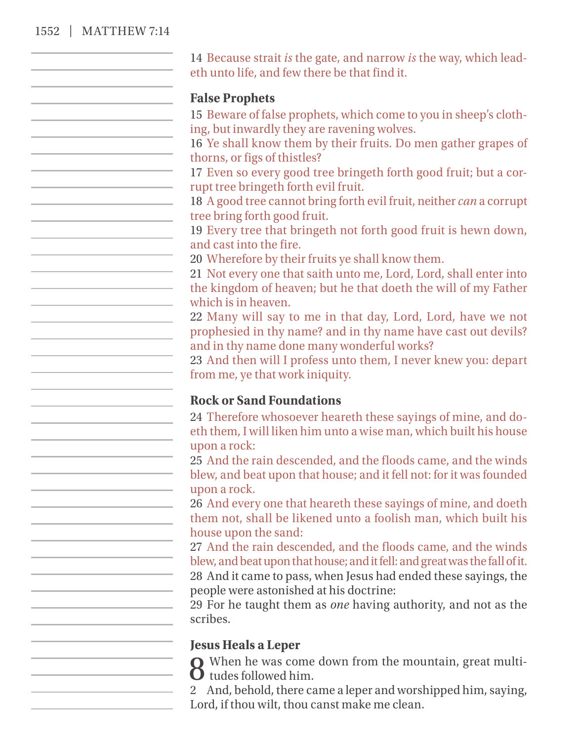#### 1552 | MATTHEW 7:14

14 Because strait *is* the gate, and narrow *is* the way, which leadeth unto life, and few there be that find it.

#### **False Prophets**

15 Beware of false prophets, which come to you in sheep's clothing, but inwardly they are ravening wolves.

16 Ye shall know them by their fruits. Do men gather grapes of thorns, or figs of thistles?

17 Even so every good tree bringeth forth good fruit; but a corrupt tree bringeth forth evil fruit.

18 A good tree cannot bring forth evil fruit, neither *can* a corrupt tree bring forth good fruit.

19 Every tree that bringeth not forth good fruit is hewn down, and cast into the fire.

20 Wherefore by their fruits ye shall know them.

21 Not every one that saith unto me, Lord, Lord, shall enter into the kingdom of heaven; but he that doeth the will of my Father which is in heaven.

22 Many will say to me in that day, Lord, Lord, have we not prophesied in thy name? and in thy name have cast out devils? and in thy name done many wonderful works?

23 And then will I profess unto them, I never knew you: depart from me, ye that work iniquity.

#### **Rock or Sand Foundations**

24 Therefore whosoever heareth these sayings of mine, and doeth them, I will liken him unto a wise man, which built his house upon a rock:

25 And the rain descended, and the floods came, and the winds blew, and beat upon that house; and it fell not: for it was founded upon a rock.

26 And every one that heareth these sayings of mine, and doeth them not, shall be likened unto a foolish man, which built his house upon the sand:

27 And the rain descended, and the floods came, and the winds blew, and beat upon that house; and it fell: and great was the fall of it.

28 And it came to pass, when Jesus had ended these sayings, the people were astonished at his doctrine:

29 For he taught them as *one* having authority, and not as the scribes.

#### **Jesus Heals a Leper**

 $\Omega$  When he was come down from the mountain, great multi-**O** tudes followed him.

2 And, behold, there came a leper and worshipped him, saying, Lord, if thou wilt, thou canst make me clean.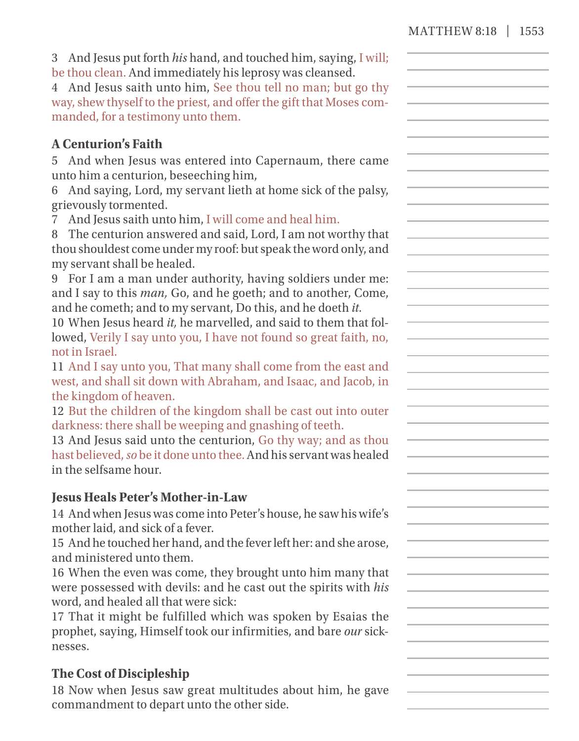3 And Jesus put forth *his* hand, and touched him, saying, I will; be thou clean. And immediately his leprosy was cleansed.

4 And Jesus saith unto him, See thou tell no man; but go thy way, shew thyself to the priest, and offer the gift that Moses commanded, for a testimony unto them.

## **A Centurion's Faith**

5 And when Jesus was entered into Capernaum, there came unto him a centurion, beseeching him,

6 And saying, Lord, my servant lieth at home sick of the palsy, grievously tormented.

7 And Jesus saith unto him, I will come and heal him.

8 The centurion answered and said, Lord, I am not worthy that thou shouldest come under my roof: but speak the word only, and my servant shall be healed.

9 For I am a man under authority, having soldiers under me: and I say to this *man,* Go, and he goeth; and to another, Come, and he cometh; and to my servant, Do this, and he doeth *it.*

10 When Jesus heard *it,* he marvelled, and said to them that followed, Verily I say unto you, I have not found so great faith, no, not in Israel.

11 And I say unto you, That many shall come from the east and west, and shall sit down with Abraham, and Isaac, and Jacob, in the kingdom of heaven.

12 But the children of the kingdom shall be cast out into outer darkness: there shall be weeping and gnashing of teeth.

13 And Jesus said unto the centurion, Go thy way; and as thou hast believed,*so* be it done unto thee. And his servant was healed in the selfsame hour.

## **Jesus Heals Peter's Mother- in- Law**

14 And when Jesus was come into Peter's house, he saw his wife's mother laid, and sick of a fever.

15 And he touched her hand, and the fever left her: and she arose, and ministered unto them.

16 When the even was come, they brought unto him many that were possessed with devils: and he cast out the spirits with *his* word, and healed all that were sick:

17 That it might be fulfilled which was spoken by Esaias the prophet, saying, Himself took our infirmities, and bare *our* sicknesses.

## **The Cost of Discipleship**

18 Now when Jesus saw great multitudes about him, he gave commandment to depart unto the other side.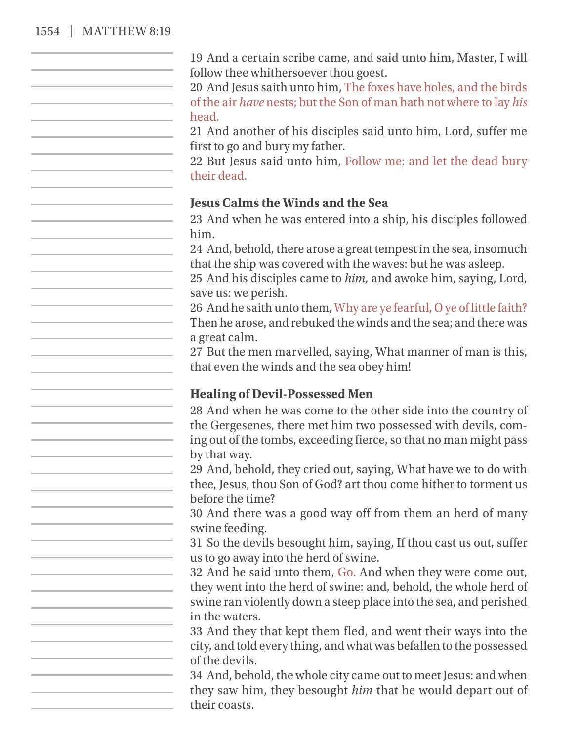#### 1554 | MATTHEW 8:19

19 And a certain scribe came, and said unto him, Master, I will follow thee whithersoever thou goest.

20 And Jesus saith unto him, The foxes have holes, and the birds of the air *have* nests; but the Son of man hath not where to lay *his* head.

21 And another of his disciples said unto him, Lord, suffer me first to go and bury my father.

22 But Jesus said unto him, Follow me; and let the dead bury their dead.

#### **Jesus Calms the Winds and the Sea**

23 And when he was entered into a ship, his disciples followed him.

24 And, behold, there arose a great tempest in the sea, insomuch that the ship was covered with the waves: but he was asleep.

25 And his disciples came to *him,* and awoke him, saying, Lord, save us: we perish.

26 And he saith unto them, Why are ye fearful, O ye of little faith? Then he arose, and rebuked the winds and the sea; and there was a great calm.

27 But the men marvelled, saying, What manner of man is this, that even the winds and the sea obey him!

#### **Healing of Devil- Possessed Men**

28 And when he was come to the other side into the country of the Gergesenes, there met him two possessed with devils, coming out of the tombs, exceeding fierce, so that no man might pass by that way.

29 And, behold, they cried out, saying, What have we to do with thee, Jesus, thou Son of God? art thou come hither to torment us before the time?

30 And there was a good way off from them an herd of many swine feeding.

31 So the devils besought him, saying, If thou cast us out, suffer us to go away into the herd of swine.

32 And he said unto them, Go. And when they were come out, they went into the herd of swine: and, behold, the whole herd of swine ran violently down a steep place into the sea, and perished in the waters.

33 And they that kept them fled, and went their ways into the city, and told every thing, and what was befallen to the possessed of the devils.

34 And, behold, the whole city came out to meet Jesus: and when they saw him, they besought *him* that he would depart out of their coasts.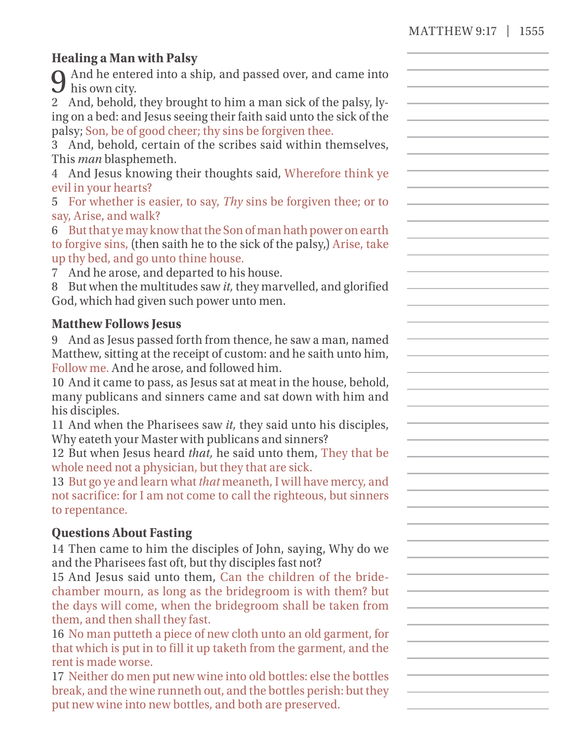## **Healing a Man with Palsy**

And he entered into a ship, and passed over, and came into his own city.

2 And, behold, they brought to him a man sick of the palsy, lying on a bed: and Jesus seeing their faith said unto the sick of the palsy; Son, be of good cheer; thy sins be forgiven thee.

3 And, behold, certain of the scribes said within themselves, This *man* blasphemeth.

4 And Jesus knowing their thoughts said, Wherefore think ye evil in your hearts?

5 For whether is easier, to say, *Thy* sins be forgiven thee; or to say, Arise, and walk?

| 6 But that ye may know that the Son of man hath power on earth         |
|------------------------------------------------------------------------|
| to forgive sins, (then saith he to the sick of the palsy,) Arise, take |
| up thy bed, and go unto thine house.                                   |

7 And he arose, and departed to his house.

8 But when the multitudes saw *it,* they marvelled, and glorified God, which had given such power unto men.

#### **Matthew Follows Jesus**

9 And as Jesus passed forth from thence, he saw a man, named Matthew, sitting at the receipt of custom: and he saith unto him, Follow me. And he arose, and followed him.

10 And it came to pass, as Jesus sat at meat in the house, behold, many publicans and sinners came and sat down with him and his disciples.

11 And when the Pharisees saw *it,* they said unto his disciples, Why eateth your Master with publicans and sinners?

12 But when Jesus heard *that,* he said unto them, They that be whole need not a physician, but they that are sick.

13 But go ye and learn what *that* meaneth, I will have mercy, and not sacrifice: for I am not come to call the righteous, but sinners to repentance.

#### **Questions About Fasting**

14 Then came to him the disciples of John, saying, Why do we and the Pharisees fast oft, but thy disciples fast not?

15 And Jesus said unto them, Can the children of the bridechamber mourn, as long as the bridegroom is with them? but the days will come, when the bridegroom shall be taken from them, and then shall they fast.

16 No man putteth a piece of new cloth unto an old garment, for that which is put in to fill it up taketh from the garment, and the rent is made worse.

17 Neither do men put new wine into old bottles: else the bottles break, and the wine runneth out, and the bottles perish: but they put new wine into new bottles, and both are preserved.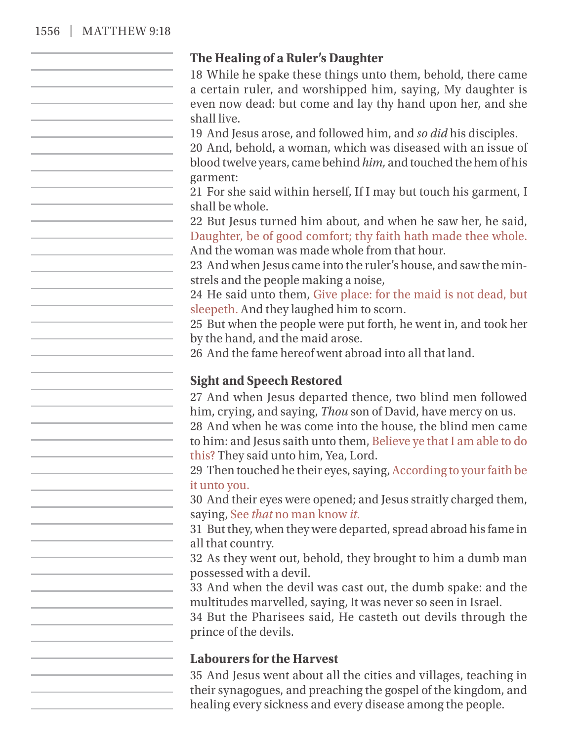#### 1556 | MATTHEW 9:18

#### **The Healing of a Ruler's Daughter**

18 While he spake these things unto them, behold, there came a certain ruler, and worshipped him, saying, My daughter is even now dead: but come and lay thy hand upon her, and she shall live.

19 And Jesus arose, and followed him, and *so did* his disciples.

20 And, behold, a woman, which was diseased with an issue of blood twelve years, came behind *him,* and touched the hem of his garment:

21 For she said within herself, If I may but touch his garment, I shall be whole.

22 But Jesus turned him about, and when he saw her, he said, Daughter, be of good comfort; thy faith hath made thee whole. And the woman was made whole from that hour.

23 And when Jesus came into the ruler's house, and saw the minstrels and the people making a noise,

24 He said unto them, Give place: for the maid is not dead, but sleepeth. And they laughed him to scorn.

25 But when the people were put forth, he went in, and took her by the hand, and the maid arose.

26 And the fame hereof went abroad into all that land.

#### **Sight and Speech Restored**

27 And when Jesus departed thence, two blind men followed him, crying, and saying, *Thou* son of David, have mercy on us.

28 And when he was come into the house, the blind men came to him: and Jesus saith unto them, Believe ye that I am able to do this? They said unto him, Yea, Lord.

29 Then touched he their eyes, saying, According to your faith be it unto you.

30 And their eyes were opened; and Jesus straitly charged them, saying, See *that* no man know *it.*

31 But they, when they were departed, spread abroad his fame in all that country.

32 As they went out, behold, they brought to him a dumb man possessed with a devil.

33 And when the devil was cast out, the dumb spake: and the multitudes marvelled, saying, It was never so seen in Israel.

34 But the Pharisees said, He casteth out devils through the prince of the devils.

#### **Labourers for the Harvest**

35 And Jesus went about all the cities and villages, teaching in their synagogues, and preaching the gospel of the kingdom, and healing every sickness and every disease among the people.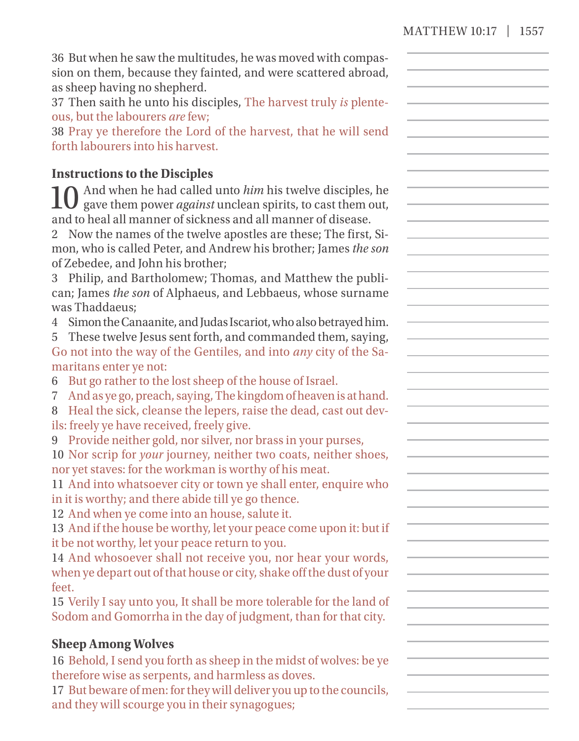| 36 But when he saw the multitudes, he was moved with compas-<br>sion on them, because they fainted, and were scattered abroad,<br>as sheep having no shepherd.<br>37 Then saith he unto his disciples, The harvest truly is plente-<br>ous, but the labourers are few;<br>38 Pray ye therefore the Lord of the harvest, that he will send                                                                                               |  |
|-----------------------------------------------------------------------------------------------------------------------------------------------------------------------------------------------------------------------------------------------------------------------------------------------------------------------------------------------------------------------------------------------------------------------------------------|--|
| forth labourers into his harvest.                                                                                                                                                                                                                                                                                                                                                                                                       |  |
| <b>Instructions to the Disciples</b>                                                                                                                                                                                                                                                                                                                                                                                                    |  |
| And when he had called unto him his twelve disciples, he<br>gave them power <i>against</i> unclean spirits, to cast them out,<br>and to heal all manner of sickness and all manner of disease.<br>2 Now the names of the twelve apostles are these; The first, Si-<br>mon, who is called Peter, and Andrew his brother; James the son<br>of Zebedee, and John his brother;<br>3 Philip, and Bartholomew; Thomas, and Matthew the publi- |  |
| can; James the son of Alphaeus, and Lebbaeus, whose surname                                                                                                                                                                                                                                                                                                                                                                             |  |
| was Thaddaeus:<br>4 Simon the Canaanite, and Judas Iscariot, who also betrayed him.<br>5 These twelve Jesus sent forth, and commanded them, saying,<br>Go not into the way of the Gentiles, and into any city of the Sa-                                                                                                                                                                                                                |  |
| maritans enter ye not:                                                                                                                                                                                                                                                                                                                                                                                                                  |  |
| 6 But go rather to the lost sheep of the house of Israel.<br>And as ye go, preach, saying, The kingdom of heaven is at hand.<br>7.<br>8 Heal the sick, cleanse the lepers, raise the dead, cast out dev-<br>ils: freely ye have received, freely give.                                                                                                                                                                                  |  |
| 9 Provide neither gold, nor silver, nor brass in your purses,<br>10 Nor scrip for your journey, neither two coats, neither shoes,<br>nor yet staves: for the workman is worthy of his meat.                                                                                                                                                                                                                                             |  |
| 11 And into whatsoever city or town ye shall enter, enquire who<br>in it is worthy; and there abide till ye go thence.<br>12 And when ye come into an house, salute it.                                                                                                                                                                                                                                                                 |  |
| 13 And if the house be worthy, let your peace come upon it: but if<br>it be not worthy, let your peace return to you.<br>14 And whosoever shall not receive you, nor hear your words,                                                                                                                                                                                                                                                   |  |
| when ye depart out of that house or city, shake off the dust of your<br>feet.                                                                                                                                                                                                                                                                                                                                                           |  |
| 15 Verily I say unto you, It shall be more tolerable for the land of<br>Sodom and Gomorrha in the day of judgment, than for that city.                                                                                                                                                                                                                                                                                                  |  |
| <b>Sheep Among Wolves</b><br>16 Behold, I send you forth as sheep in the midst of wolves: be ye<br>therefore wise as serpents, and harmless as doves.<br>17 But beware of men: for they will deliver you up to the councils,<br>and they will scourge you in their synagogues;                                                                                                                                                          |  |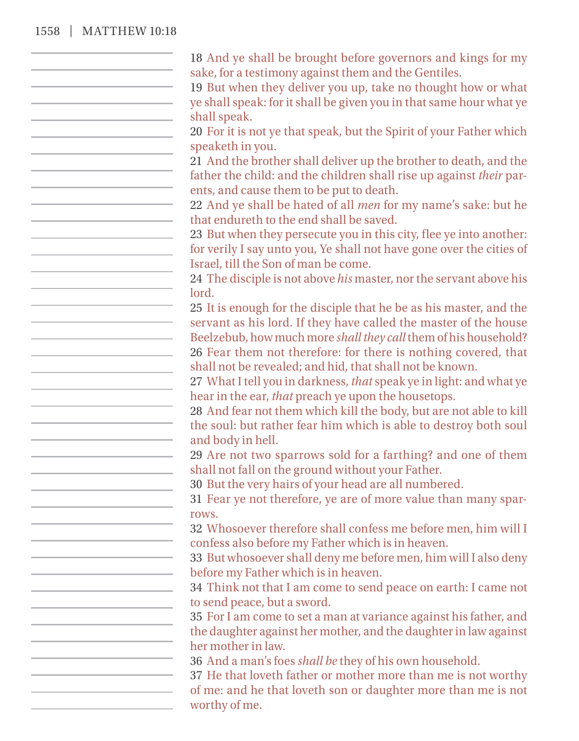#### 1558 | MATTHEW 10:18

18 And ye shall be brought before governors and kings for my sake, for a testimony against them and the Gentiles. 19 But when they deliver you up, take no thought how or what ye shall speak: for it shall be given you in that same hour what ye shall speak. 20 For it is not ye that speak, but the Spirit of your Father which speaketh in you. 21 And the brother shall deliver up the brother to death, and the father the child: and the children shall rise up against *their* parents, and cause them to be put to death. 22 And ye shall be hated of all *men* for my name's sake: but he that endureth to the end shall be saved. 23 But when they persecute you in this city, flee ye into another: for verily I say unto you, Ye shall not have gone over the cities of Israel, till the Son of man be come. 24 The disciple is not above *his* master, nor the servant above his lord. 25 It is enough for the disciple that he be as his master, and the servant as his lord. If they have called the master of the house Beelzebub, how much more *shall they call* them of his household? 26 Fear them not therefore: for there is nothing covered, that shall not be revealed; and hid, that shall not be known. 27 What I tell you in darkness, *that* speak ye in light: and what ye hear in the ear, *that* preach ye upon the housetops. 28 And fear not them which kill the body, but are not able to kill the soul: but rather fear him which is able to destroy both soul and body in hell. 29 Are not two sparrows sold for a farthing? and one of them shall not fall on the ground without your Father. 30 But the very hairs of your head are all numbered. 31 Fear ye not therefore, ye are of more value than many sparrows. 32 Whosoever therefore shall confess me before men, him will I confess also before my Father which is in heaven. 33 But whosoever shall deny me before men, him will I also deny before my Father which is in heaven. 34 Think not that I am come to send peace on earth: I came not to send peace, but a sword. 35 For I am come to set a man at variance against his father, and the daughter against her mother, and the daughter in law against her mother in law. 36 And a man's foes *shall be* they of his own household. 37 He that loveth father or mother more than me is not worthy of me: and he that loveth son or daughter more than me is not worthy of me.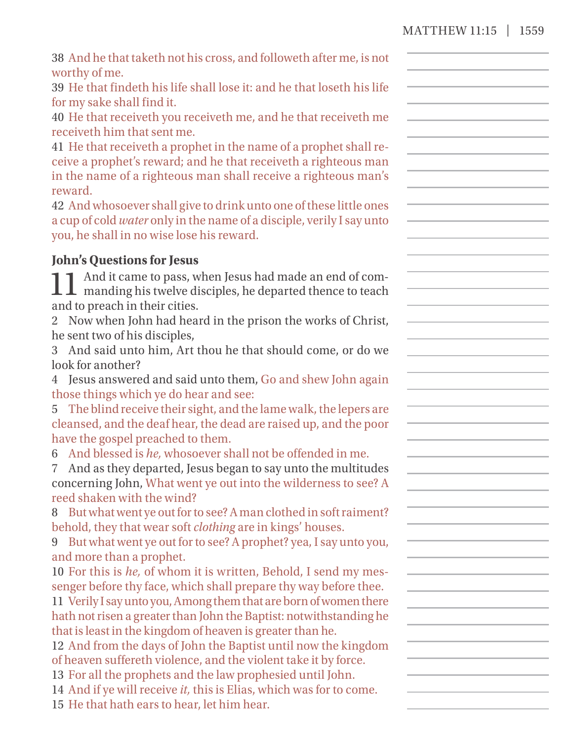| 39 He that findeth his life shall lose it: and he that loseth his life<br>for my sake shall find it.<br>40 He that receiveth you receiveth me, and he that receiveth me<br>receiveth him that sent me.<br>41 He that receiveth a prophet in the name of a prophet shall re-<br>ceive a prophet's reward; and he that receiveth a righteous man<br>in the name of a righteous man shall receive a righteous man's<br>reward.<br>42 And whosoever shall give to drink unto one of these little ones<br>a cup of cold water only in the name of a disciple, verily I say unto<br>you, he shall in no wise lose his reward. |
|-------------------------------------------------------------------------------------------------------------------------------------------------------------------------------------------------------------------------------------------------------------------------------------------------------------------------------------------------------------------------------------------------------------------------------------------------------------------------------------------------------------------------------------------------------------------------------------------------------------------------|
| <b>John's Questions for Jesus</b>                                                                                                                                                                                                                                                                                                                                                                                                                                                                                                                                                                                       |
| And it came to pass, when Jesus had made an end of com-<br>$\perp\!\!\!\perp\perp$ manding his twelve disciples, he departed thence to teach<br>and to preach in their cities.                                                                                                                                                                                                                                                                                                                                                                                                                                          |
| 2 Now when John had heard in the prison the works of Christ,                                                                                                                                                                                                                                                                                                                                                                                                                                                                                                                                                            |
| he sent two of his disciples,                                                                                                                                                                                                                                                                                                                                                                                                                                                                                                                                                                                           |
| 3 And said unto him, Art thou he that should come, or do we                                                                                                                                                                                                                                                                                                                                                                                                                                                                                                                                                             |
| look for another?                                                                                                                                                                                                                                                                                                                                                                                                                                                                                                                                                                                                       |
| 4 Jesus answered and said unto them, Go and shew John again                                                                                                                                                                                                                                                                                                                                                                                                                                                                                                                                                             |
| those things which ye do hear and see:                                                                                                                                                                                                                                                                                                                                                                                                                                                                                                                                                                                  |
| 5 The blind receive their sight, and the lame walk, the lepers are                                                                                                                                                                                                                                                                                                                                                                                                                                                                                                                                                      |
| cleansed, and the deaf hear, the dead are raised up, and the poor                                                                                                                                                                                                                                                                                                                                                                                                                                                                                                                                                       |
| have the gospel preached to them.                                                                                                                                                                                                                                                                                                                                                                                                                                                                                                                                                                                       |
| 6 And blessed is he, whosoever shall not be offended in me.                                                                                                                                                                                                                                                                                                                                                                                                                                                                                                                                                             |
| And as they departed, Jesus began to say unto the multitudes                                                                                                                                                                                                                                                                                                                                                                                                                                                                                                                                                            |
| concerning John, What went ye out into the wilderness to see? A                                                                                                                                                                                                                                                                                                                                                                                                                                                                                                                                                         |
| reed shaken with the wind?                                                                                                                                                                                                                                                                                                                                                                                                                                                                                                                                                                                              |
| 8 But what went ye out for to see? A man clothed in soft raiment?                                                                                                                                                                                                                                                                                                                                                                                                                                                                                                                                                       |
| behold, they that wear soft <i>clothing</i> are in kings' houses.                                                                                                                                                                                                                                                                                                                                                                                                                                                                                                                                                       |
| 9 But what went ye out for to see? A prophet? yea, I say unto you,                                                                                                                                                                                                                                                                                                                                                                                                                                                                                                                                                      |
| and more than a prophet.                                                                                                                                                                                                                                                                                                                                                                                                                                                                                                                                                                                                |
| 10 For this is he, of whom it is written, Behold, I send my mes-                                                                                                                                                                                                                                                                                                                                                                                                                                                                                                                                                        |
| senger before thy face, which shall prepare thy way before thee.                                                                                                                                                                                                                                                                                                                                                                                                                                                                                                                                                        |
| 11 Verily I say unto you, Among them that are born of women there                                                                                                                                                                                                                                                                                                                                                                                                                                                                                                                                                       |
| hath not risen a greater than John the Baptist: notwithstanding he                                                                                                                                                                                                                                                                                                                                                                                                                                                                                                                                                      |
| that is least in the kingdom of heaven is greater than he.<br>12 And from the days of John the Baptist until now the kingdom                                                                                                                                                                                                                                                                                                                                                                                                                                                                                            |
| of heaven suffereth violence, and the violent take it by force.                                                                                                                                                                                                                                                                                                                                                                                                                                                                                                                                                         |
| 13 For all the prophets and the law prophesied until John.                                                                                                                                                                                                                                                                                                                                                                                                                                                                                                                                                              |
| 14 And if ye will receive it, this is Elias, which was for to come.                                                                                                                                                                                                                                                                                                                                                                                                                                                                                                                                                     |
| 15 He that hath ears to hear, let him hear.                                                                                                                                                                                                                                                                                                                                                                                                                                                                                                                                                                             |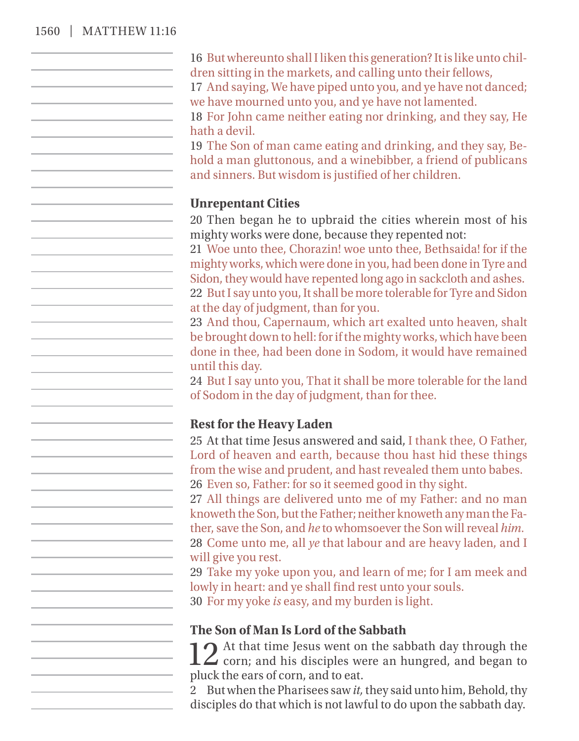#### 1560 | MATTHEW 11:16

16 But whereunto shall I liken this generation? It is like unto children sitting in the markets, and calling unto their fellows,

17 And saying, We have piped unto you, and ye have not danced; we have mourned unto you, and ye have not lamented.

18 For John came neither eating nor drinking, and they say, He hath a devil.

19 The Son of man came eating and drinking, and they say, Behold a man gluttonous, and a winebibber, a friend of publicans and sinners. But wisdom is justified of her children.

#### **Unrepentant Cities**

20 Then began he to upbraid the cities wherein most of his mighty works were done, because they repented not:

21 Woe unto thee, Chorazin! woe unto thee, Bethsaida! for if the mighty works, which were done in you, had been done in Tyre and Sidon, they would have repented long ago in sackcloth and ashes. 22 But I say unto you, It shall be more tolerable for Tyre and Sidon

at the day of judgment, than for you.

23 And thou, Capernaum, which art exalted unto heaven, shalt be brought down to hell: for if the mighty works, which have been done in thee, had been done in Sodom, it would have remained until this day.

24 But I say unto you, That it shall be more tolerable for the land of Sodom in the day of judgment, than for thee.

#### **Rest for the Heavy Laden**

25 At that time Jesus answered and said, I thank thee, O Father, Lord of heaven and earth, because thou hast hid these things from the wise and prudent, and hast revealed them unto babes. 26 Even so, Father: for so it seemed good in thy sight.

27 All things are delivered unto me of my Father: and no man knoweth the Son, but the Father; neither knoweth any man the Father, save the Son, and *he* to whomsoever the Son will reveal *him.*

28 Come unto me, all *ye* that labour and are heavy laden, and I will give you rest.

29 Take my yoke upon you, and learn of me; for I am meek and lowly in heart: and ye shall find rest unto your souls.

30 For my yoke *is* easy, and my burden is light.

#### **The Son of Man Is Lord of the Sabbath**

12 At that time Jesus went on the sabbath day through the corn; and his disciples were an hungred, and began to  $\angle$  corn; and his disciples were an hungred, and began to pluck the ears of corn, and to eat.

2 But when the Pharisees saw *it,* they said unto him, Behold, thy disciples do that which is not lawful to do upon the sabbath day.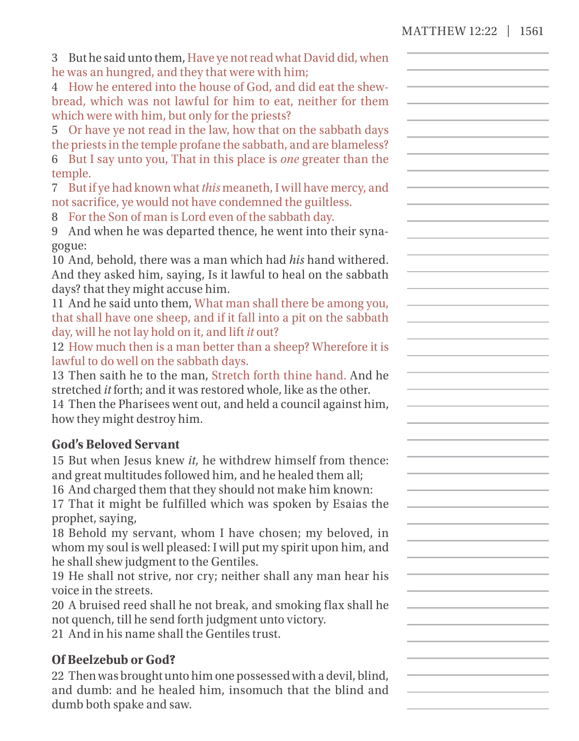| 3 But he said unto them, Have ye not read what David did, when |
|----------------------------------------------------------------|
| he was an hungred, and they that were with him;                |

4 How he entered into the house of God, and did eat the shewbread, which was not lawful for him to eat, neither for them which were with him, but only for the priests?

5 Or have ye not read in the law, how that on the sabbath days the priests in the temple profane the sabbath, and are blameless?

6 But I say unto you, That in this place is *one* greater than the temple.

7 But if ye had known what *this* meaneth, I will have mercy, and not sacrifice, ye would not have condemned the guiltless.

8 For the Son of man is Lord even of the sabbath day.

9 And when he was departed thence, he went into their synagogue:

10 And, behold, there was a man which had *his* hand withered. And they asked him, saying, Is it lawful to heal on the sabbath days? that they might accuse him.

11 And he said unto them, What man shall there be among you, that shall have one sheep, and if it fall into a pit on the sabbath day, will he not lay hold on it, and lift *it* out?

12 How much then is a man better than a sheep? Wherefore it is lawful to do well on the sabbath days.

13 Then saith he to the man, Stretch forth thine hand. And he stretched *it* forth; and it was restored whole, like as the other.

14 Then the Pharisees went out, and held a council against him, how they might destroy him.

## **God's Beloved Servant**

15 But when Jesus knew *it,* he withdrew himself from thence: and great multitudes followed him, and he healed them all;

16 And charged them that they should not make him known: 17 That it might be fulfilled which was spoken by Esaias the prophet, saying,

18 Behold my servant, whom I have chosen; my beloved, in whom my soul is well pleased: I will put my spirit upon him, and he shall shew judgment to the Gentiles.

19 He shall not strive, nor cry; neither shall any man hear his voice in the streets.

20 A bruised reed shall he not break, and smoking flax shall he not quench, till he send forth judgment unto victory.

21 And in his name shall the Gentiles trust.

## **Of Beelzebub or God?**

22 Then was brought unto him one possessed with a devil, blind, and dumb: and he healed him, insomuch that the blind and dumb both spake and saw.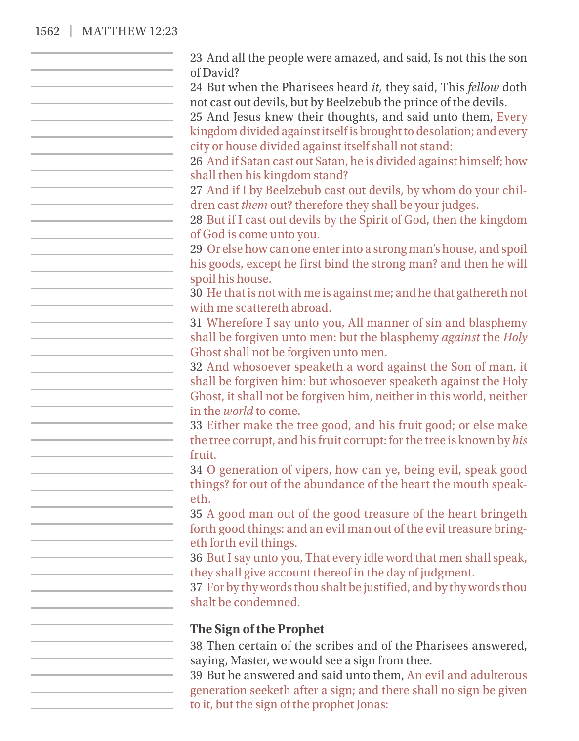#### 1562 | MATTHEW 12:23

23 And all the people were amazed, and said, Is not this the son of David? 24 But when the Pharisees heard *it,* they said, This *fellow* doth not cast out devils, but by Beelzebub the prince of the devils. 25 And Jesus knew their thoughts, and said unto them, Every kingdom divided against itself is brought to desolation; and every city or house divided against itself shall not stand: 26 And if Satan cast out Satan, he is divided against himself; how shall then his kingdom stand? 27 And if I by Beelzebub cast out devils, by whom do your children cast *them* out? therefore they shall be your judges. 28 But if I cast out devils by the Spirit of God, then the kingdom of God is come unto you. 29 Or else how can one enter into a strong man's house, and spoil his goods, except he first bind the strong man? and then he will spoil his house. 30 He that is not with me is against me; and he that gathereth not with me scattereth abroad. 31 Wherefore I say unto you, All manner of sin and blasphemy shall be forgiven unto men: but the blasphemy *against* the *Holy* Ghost shall not be forgiven unto men. 32 And whosoever speaketh a word against the Son of man, it shall be forgiven him: but whosoever speaketh against the Holy Ghost, it shall not be forgiven him, neither in this world, neither in the *world* to come. 33 Either make the tree good, and his fruit good; or else make the tree corrupt, and his fruit corrupt: for the tree is known by *his* fruit. 34 O generation of vipers, how can ye, being evil, speak good things? for out of the abundance of the heart the mouth speaketh. 35 A good man out of the good treasure of the heart bringeth forth good things: and an evil man out of the evil treasure bringeth forth evil things. 36 But I say unto you, That every idle word that men shall speak, they shall give account thereof in the day of judgment. 37 For by thy words thou shalt be justified, and by thy words thou shalt be condemned. **The Sign of the Prophet** 38 Then certain of the scribes and of the Pharisees answered, saying, Master, we would see a sign from thee. 39 But he answered and said unto them, An evil and adulterous generation seeketh after a sign; and there shall no sign be given to it, but the sign of the prophet Jonas: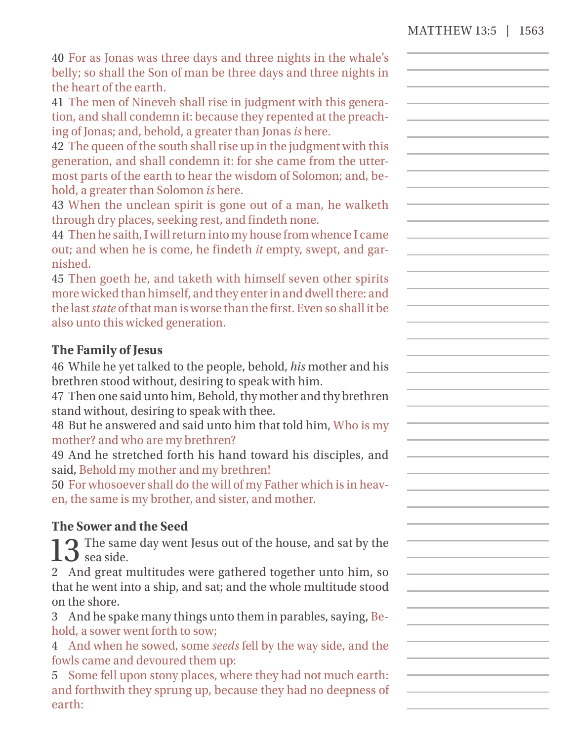40 For as Jonas was three days and three nights in the whale's belly; so shall the Son of man be three days and three nights in the heart of the earth.

41 The men of Nineveh shall rise in judgment with this generation, and shall condemn it: because they repented at the preaching of Jonas; and, behold, a greater than Jonas *is* here.

42 The queen of the south shall rise up in the judgment with this generation, and shall condemn it: for she came from the uttermost parts of the earth to hear the wisdom of Solomon; and, behold, a greater than Solomon *is* here.

43 When the unclean spirit is gone out of a man, he walketh through dry places, seeking rest, and findeth none.

44 Then he saith, I will return into my house from whence I came out; and when he is come, he findeth *it* empty, swept, and garnished.

45 Then goeth he, and taketh with himself seven other spirits more wicked than himself, and they enter in and dwell there: and the last*state* of that man is worse than the first. Even so shall it be also unto this wicked generation.

## **The Family of Jesus**

46 While he yet talked to the people, behold, *his* mother and his brethren stood without, desiring to speak with him.

47 Then one said unto him, Behold, thy mother and thy brethren stand without, desiring to speak with thee.

48 But he answered and said unto him that told him, Who is my mother? and who are my brethren?

49 And he stretched forth his hand toward his disciples, and said, Behold my mother and my brethren!

50 For whosoever shall do the will of my Father which is in heaven, the same is my brother, and sister, and mother.

## **The Sower and the Seed**

13 The same day went Jesus out of the house, and sat by the  $13 \text{ m}$ sea side.

2 And great multitudes were gathered together unto him, so that he went into a ship, and sat; and the whole multitude stood on the shore.

3 And he spake many things unto them in parables, saying, Behold, a sower went forth to sow;

4 And when he sowed, some *seeds* fell by the way side, and the fowls came and devoured them up:

5 Some fell upon stony places, where they had not much earth: and forthwith they sprung up, because they had no deepness of earth: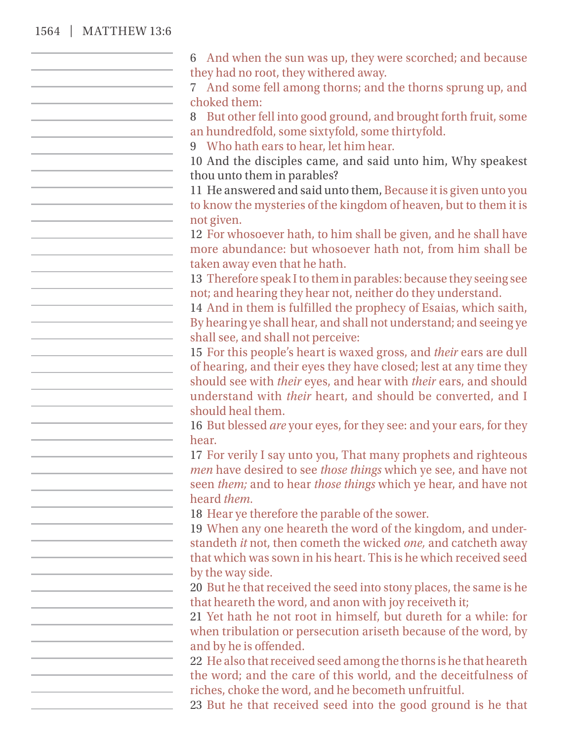#### 1564 | MATTHEW 13:6

6 And when the sun was up, they were scorched; and because they had no root, they withered away. 7 And some fell among thorns; and the thorns sprung up, and choked them: 8 But other fell into good ground, and brought forth fruit, some an hundredfold, some sixtyfold, some thirtyfold. 9 Who hath ears to hear, let him hear. 10 And the disciples came, and said unto him, Why speakest thou unto them in parables? 11 He answered and said unto them, Because it is given unto you to know the mysteries of the kingdom of heaven, but to them it is not given. 12 For whosoever hath, to him shall be given, and he shall have more abundance: but whosoever hath not, from him shall be taken away even that he hath. 13 Therefore speak I to them in parables: because they seeing see not; and hearing they hear not, neither do they understand. 14 And in them is fulfilled the prophecy of Esaias, which saith, By hearing ye shall hear, and shall not understand; and seeing ye shall see, and shall not perceive: 15 For this people's heart is waxed gross, and *their* ears are dull of hearing, and their eyes they have closed; lest at any time they <u> 1980 - John Stein, mars and de Branch and de Branch and de Branch and de Branch and de Branch and de Branch an</u> should see with *their* eyes, and hear with *their* ears, and should understand with *their* heart, and should be converted, and I should heal them. 16 But blessed *are* your eyes, for they see: and your ears, for they hear. 17 For verily I say unto you, That many prophets and righteous *men* have desired to see *those things* which ye see, and have not seen *them;* and to hear *those things* which ye hear, and have not heard *them.* 18 Hear ye therefore the parable of the sower. 19 When any one heareth the word of the kingdom, and understandeth *it* not, then cometh the wicked *one,* and catcheth away that which was sown in his heart. This is he which received seed by the way side. 20 But he that received the seed into stony places, the same is he that heareth the word, and anon with joy receiveth it; 21 Yet hath he not root in himself, but dureth for a while: for when tribulation or persecution ariseth because of the word, by and by he is offended. 22 He also that received seed among the thorns is he that heareth the word; and the care of this world, and the deceitfulness of riches, choke the word, and he becometh unfruitful. 23 But he that received seed into the good ground is he that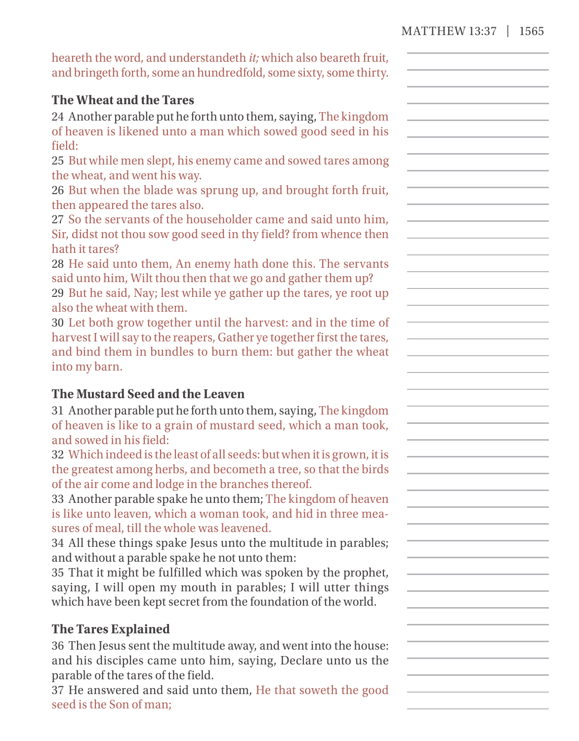heareth the word, and understandeth *it;* which also beareth fruit, and bringeth forth, some an hundredfold, some sixty, some thirty.

## **The Wheat and the Tares**

24 Another parable put he forth unto them, saying, The kingdom of heaven is likened unto a man which sowed good seed in his field:

25 But while men slept, his enemy came and sowed tares among the wheat, and went his way.

26 But when the blade was sprung up, and brought forth fruit, then appeared the tares also.

27 So the servants of the householder came and said unto him, Sir, didst not thou sow good seed in thy field? from whence then hath it tares?

28 He said unto them, An enemy hath done this. The servants said unto him, Wilt thou then that we go and gather them up?

29 But he said, Nay; lest while ye gather up the tares, ye root up also the wheat with them.

30 Let both grow together until the harvest: and in the time of harvest I will say to the reapers, Gather ye together first the tares, and bind them in bundles to burn them: but gather the wheat into my barn.

#### **The Mustard Seed and the Leaven**

31 Another parable put he forth unto them, saying, The kingdom of heaven is like to a grain of mustard seed, which a man took, and sowed in his field:

32 Which indeed is the least of all seeds: but when it is grown, it is the greatest among herbs, and becometh a tree, so that the birds of the air come and lodge in the branches thereof.

33 Another parable spake he unto them; The kingdom of heaven is like unto leaven, which a woman took, and hid in three measures of meal, till the whole was leavened.

34 All these things spake Jesus unto the multitude in parables; and without a parable spake he not unto them:

35 That it might be fulfilled which was spoken by the prophet, saying, I will open my mouth in parables; I will utter things which have been kept secret from the foundation of the world.

## **The Tares Explained**

36 Then Jesus sent the multitude away, and went into the house: and his disciples came unto him, saying, Declare unto us the parable of the tares of the field.

37 He answered and said unto them, He that soweth the good seed is the Son of man;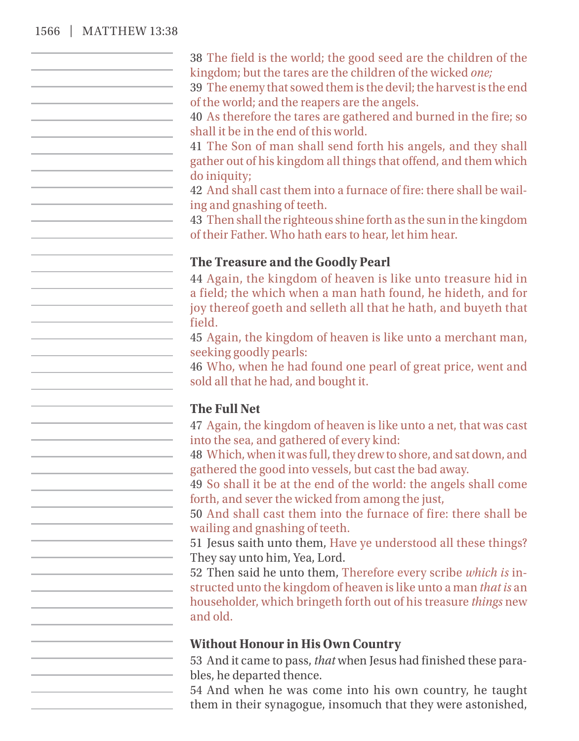## 1566 | MATTHEW 13:38

| 38 The field is the world; the good seed are the children of the<br>kingdom; but the tares are the children of the wicked one;                                                                            |
|-----------------------------------------------------------------------------------------------------------------------------------------------------------------------------------------------------------|
| 39 The enemy that sowed them is the devil; the harvest is the end<br>of the world; and the reapers are the angels.                                                                                        |
| 40 As therefore the tares are gathered and burned in the fire; so<br>shall it be in the end of this world.                                                                                                |
| 41 The Son of man shall send forth his angels, and they shall<br>gather out of his kingdom all things that offend, and them which                                                                         |
| do iniquity;<br>42 And shall cast them into a furnace of fire: there shall be wail-                                                                                                                       |
| ing and gnashing of teeth.<br>43 Then shall the righteous shine forth as the sun in the kingdom<br>of their Father. Who hath ears to hear, let him hear.                                                  |
| The Treasure and the Goodly Pearl                                                                                                                                                                         |
| 44 Again, the kingdom of heaven is like unto treasure hid in<br>a field; the which when a man hath found, he hideth, and for<br>joy thereof goeth and selleth all that he hath, and buyeth that<br>field. |
| 45 Again, the kingdom of heaven is like unto a merchant man,<br>seeking goodly pearls:                                                                                                                    |
| 46 Who, when he had found one pearl of great price, went and<br>sold all that he had, and bought it.                                                                                                      |
| <b>The Full Net</b>                                                                                                                                                                                       |
| 47 Again, the kingdom of heaven is like unto a net, that was cast<br>into the sea, and gathered of every kind:                                                                                            |
| 48 Which, when it was full, they drew to shore, and sat down, and<br>gathered the good into vessels, but cast the bad away.<br>49 So shall it be at the end of the world: the angels shall come           |
| forth, and sever the wicked from among the just,<br>50 And shall cast them into the furnace of fire: there shall be                                                                                       |
| wailing and gnashing of teeth.<br>51 Jesus saith unto them, Have ye understood all these things?                                                                                                          |
| They say unto him, Yea, Lord.<br>52 Then said he unto them, Therefore every scribe which is in-                                                                                                           |
| structed unto the kingdom of heaven is like unto a man that is an<br>householder, which bringeth forth out of his treasure things new<br>and old.                                                         |
|                                                                                                                                                                                                           |
| <b>Without Honour in His Own Country</b><br>53 And it came to pass, that when Jesus had finished these para-                                                                                              |
| bles, he departed thence.                                                                                                                                                                                 |
| 54 And when he was come into his own country, he taught<br>them in their synagogue, insomuch that they were astonished,                                                                                   |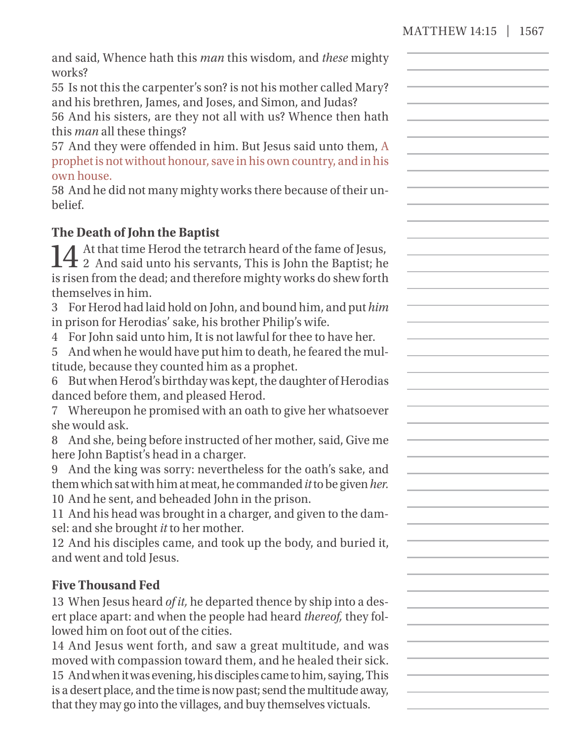| and said, Whence hath this man this wisdom, and these mighty<br>works?                                                                                                                                                              |  |
|-------------------------------------------------------------------------------------------------------------------------------------------------------------------------------------------------------------------------------------|--|
| 55 Is not this the carpenter's son? is not his mother called Mary?<br>and his brethren, James, and Joses, and Simon, and Judas?<br>56 And his sisters, are they not all with us? Whence then hath                                   |  |
| this <i>man</i> all these things?<br>57 And they were offended in him. But Jesus said unto them, A<br>prophet is not without honour, save in his own country, and in his<br>own house.                                              |  |
| 58 And he did not many mighty works there because of their un-<br>belief.                                                                                                                                                           |  |
| The Death of John the Baptist                                                                                                                                                                                                       |  |
| A At that time Herod the tetrarch heard of the fame of Jesus,<br>$\mathbf{14}$ 2 And said unto his servants, This is John the Baptist; he<br>is risen from the dead; and therefore mighty works do shew forth<br>themselves in him. |  |
| 3 For Herod had laid hold on John, and bound him, and put him<br>in prison for Herodias' sake, his brother Philip's wife.                                                                                                           |  |
| 4 For John said unto him, It is not lawful for thee to have her.<br>And when he would have put him to death, he feared the mul-<br>5<br>titude, because they counted him as a prophet.                                              |  |
| 6 But when Herod's birthday was kept, the daughter of Herodias<br>danced before them, and pleased Herod.                                                                                                                            |  |
| 7 Whereupon he promised with an oath to give her whatsoever<br>she would ask.<br>8 And she, being before instructed of her mother, said, Give me                                                                                    |  |
| here John Baptist's head in a charger.                                                                                                                                                                                              |  |
| 9 And the king was sorry: nevertheless for the oath's sake, and<br>them which sat with him at meat, he commanded it to be given her.<br>10 And he sent, and beheaded John in the prison.                                            |  |
| 11 And his head was brought in a charger, and given to the dam-<br>sel: and she brought it to her mother.                                                                                                                           |  |
| 12 And his disciples came, and took up the body, and buried it,<br>and went and told Jesus.                                                                                                                                         |  |
| <b>Five Thousand Fed</b>                                                                                                                                                                                                            |  |
| 13 When Jesus heard of it, he departed thence by ship into a des-                                                                                                                                                                   |  |
| ert place apart: and when the people had heard thereof, they fol-<br>lowed him on foot out of the cities.                                                                                                                           |  |
| 14 And Jesus went forth, and saw a great multitude, and was                                                                                                                                                                         |  |
| moved with compassion toward them, and he healed their sick.                                                                                                                                                                        |  |
| 15 And when it was evening, his disciples came to him, saying, This                                                                                                                                                                 |  |
| is a desert place, and the time is now past; send the multitude away,<br>that they may go into the villages, and buy themselves victuals.                                                                                           |  |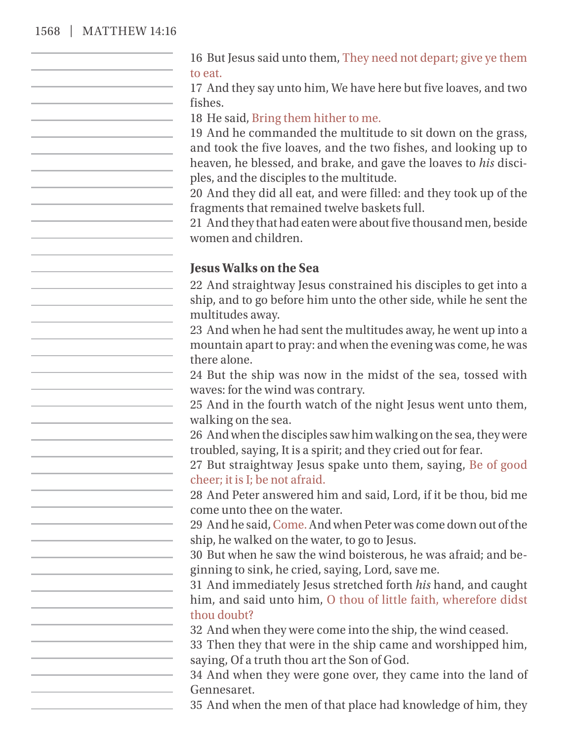#### 1568 | M

| 1ATTHEW 14:16 |                                                                                                                                                                                                                                                                                         |
|---------------|-----------------------------------------------------------------------------------------------------------------------------------------------------------------------------------------------------------------------------------------------------------------------------------------|
|               | 16 But Jesus said unto them, They need not depart; give ye them<br>to eat.                                                                                                                                                                                                              |
|               | 17 And they say unto him, We have here but five loaves, and two<br>fishes.                                                                                                                                                                                                              |
|               | 18 He said, Bring them hither to me.<br>19 And he commanded the multitude to sit down on the grass,<br>and took the five loaves, and the two fishes, and looking up to<br>heaven, he blessed, and brake, and gave the loaves to his disci-<br>ples, and the disciples to the multitude. |
|               | 20 And they did all eat, and were filled: and they took up of the<br>fragments that remained twelve baskets full.                                                                                                                                                                       |
|               | 21 And they that had eaten were about five thousand men, beside<br>women and children.                                                                                                                                                                                                  |
|               | <b>Jesus Walks on the Sea</b>                                                                                                                                                                                                                                                           |
|               | 22 And straightway Jesus constrained his disciples to get into a<br>ship, and to go before him unto the other side, while he sent the<br>multitudes away.                                                                                                                               |
|               | 23 And when he had sent the multitudes away, he went up into a<br>mountain apart to pray: and when the evening was come, he was<br>there alone.                                                                                                                                         |
|               | 24 But the ship was now in the midst of the sea, tossed with<br>waves: for the wind was contrary.                                                                                                                                                                                       |
|               | 25 And in the fourth watch of the night Jesus went unto them,<br>walking on the sea.                                                                                                                                                                                                    |
|               | 26 And when the disciples saw him walking on the sea, they were<br>troubled, saying, It is a spirit; and they cried out for fear.<br>27 But straightway Jesus spake unto them, saying, Be of good                                                                                       |
|               | cheer; it is I; be not afraid.                                                                                                                                                                                                                                                          |
|               | 28 And Peter answered him and said, Lord, if it be thou, bid me<br>come unto thee on the water.                                                                                                                                                                                         |
|               | 29 And he said, Come. And when Peter was come down out of the<br>ship, he walked on the water, to go to Jesus.                                                                                                                                                                          |
|               | 30 But when he saw the wind boisterous, he was afraid; and be-<br>ginning to sink, he cried, saying, Lord, save me.                                                                                                                                                                     |
|               |                                                                                                                                                                                                                                                                                         |

31 And immediately Jesus stretched forth *his* hand, and caught him, and said unto him, O thou of little faith, wherefore didst thou doubt?

32 And when they were come into the ship, the wind ceased.

33 Then they that were in the ship came and worshipped him, saying, Of a truth thou art the Son of God.

34 And when they were gone over, they came into the land of Gennesaret.

35 And when the men of that place had knowledge of him, they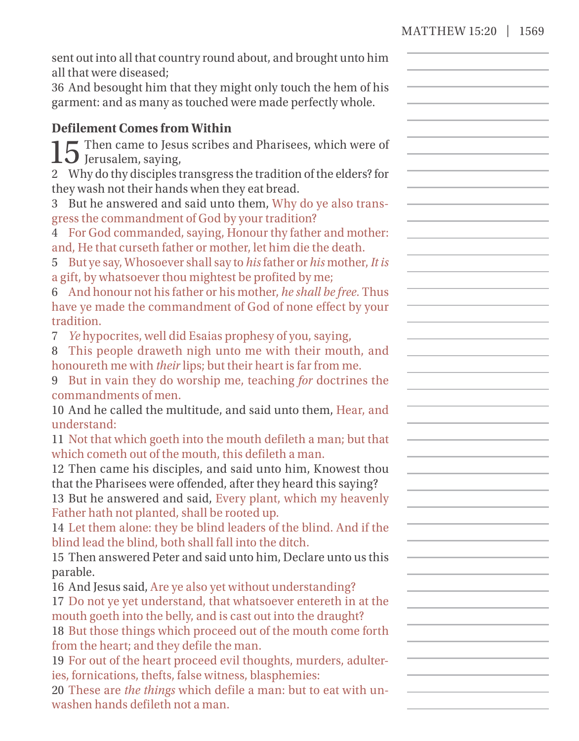| sent out into all that country round about, and brought unto him<br>all that were diseased;<br>36 And besought him that they might only touch the hem of his<br>garment: and as many as touched were made perfectly whole. |  |
|----------------------------------------------------------------------------------------------------------------------------------------------------------------------------------------------------------------------------|--|
| <b>Defilement Comes from Within</b>                                                                                                                                                                                        |  |
| Then came to Jesus scribes and Pharisees, which were of                                                                                                                                                                    |  |
| $15$ Jerusalem, saying,                                                                                                                                                                                                    |  |
| 2 Why do thy disciples transgress the tradition of the elders? for                                                                                                                                                         |  |
| they wash not their hands when they eat bread.                                                                                                                                                                             |  |
| 3 But he answered and said unto them, Why do ye also trans-                                                                                                                                                                |  |
| gress the commandment of God by your tradition?                                                                                                                                                                            |  |
| 4 For God commanded, saying, Honour thy father and mother:                                                                                                                                                                 |  |
| and, He that curseth father or mother, let him die the death.                                                                                                                                                              |  |
| 5 But ye say, Whosoever shall say to his father or his mother, It is                                                                                                                                                       |  |
| a gift, by whatsoever thou mightest be profited by me;                                                                                                                                                                     |  |
| 6 And honour not his father or his mother, he shall be free. Thus                                                                                                                                                          |  |
| have ye made the commandment of God of none effect by your                                                                                                                                                                 |  |
| tradition.                                                                                                                                                                                                                 |  |
| Ye hypocrites, well did Esaias prophesy of you, saying,<br>7                                                                                                                                                               |  |
| 8 This people draweth nigh unto me with their mouth, and                                                                                                                                                                   |  |
| honoureth me with their lips; but their heart is far from me.                                                                                                                                                              |  |
| 9 But in vain they do worship me, teaching for doctrines the                                                                                                                                                               |  |
| commandments of men.<br>10 And he called the multitude, and said unto them, Hear, and                                                                                                                                      |  |
| understand:                                                                                                                                                                                                                |  |
| 11 Not that which goeth into the mouth defileth a man; but that                                                                                                                                                            |  |
| which cometh out of the mouth, this defileth a man.                                                                                                                                                                        |  |
| 12 Then came his disciples, and said unto him, Knowest thou                                                                                                                                                                |  |
| that the Pharisees were offended, after they heard this saying?                                                                                                                                                            |  |
| 13 But he answered and said, Every plant, which my heavenly                                                                                                                                                                |  |
| Father hath not planted, shall be rooted up.                                                                                                                                                                               |  |
| 14 Let them alone: they be blind leaders of the blind. And if the                                                                                                                                                          |  |
| blind lead the blind, both shall fall into the ditch.                                                                                                                                                                      |  |
| 15 Then answered Peter and said unto him, Declare unto us this                                                                                                                                                             |  |
| parable.                                                                                                                                                                                                                   |  |
| 16 And Jesus said, Are ye also yet without understanding?                                                                                                                                                                  |  |
| 17 Do not ye yet understand, that whatsoever entereth in at the                                                                                                                                                            |  |
| mouth goeth into the belly, and is cast out into the draught?                                                                                                                                                              |  |
| 18 But those things which proceed out of the mouth come forth                                                                                                                                                              |  |
| from the heart; and they defile the man.                                                                                                                                                                                   |  |
| 19 For out of the heart proceed evil thoughts, murders, adulter-                                                                                                                                                           |  |
| ies, fornications, thefts, false witness, blasphemies:                                                                                                                                                                     |  |
| 20 These are the things which defile a man: but to eat with un-                                                                                                                                                            |  |
| washen hands defileth not a man.                                                                                                                                                                                           |  |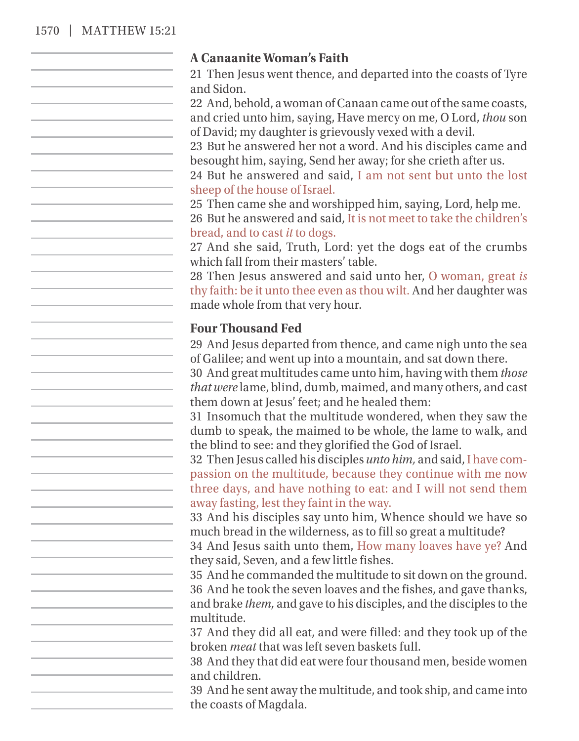#### 1570 | MATTHEW 15:21

#### **A Canaanite Woman's Faith**

21 Then Jesus went thence, and departed into the coasts of Tyre and Sidon.

22 And, behold, a woman of Canaan came out of the same coasts, and cried unto him, saying, Have mercy on me, O Lord, *thou* son of David; my daughter is grievously vexed with a devil.

23 But he answered her not a word. And his disciples came and besought him, saying, Send her away; for she crieth after us.

24 But he answered and said, I am not sent but unto the lost sheep of the house of Israel.

25 Then came she and worshipped him, saying, Lord, help me.

26 But he answered and said, It is not meet to take the children's bread, and to cast *it* to dogs.

27 And she said, Truth, Lord: yet the dogs eat of the crumbs which fall from their masters' table.

28 Then Jesus answered and said unto her, O woman, great *is* thy faith: be it unto thee even as thou wilt. And her daughter was made whole from that very hour.

#### **Four Thousand Fed**

29 And Jesus departed from thence, and came nigh unto the sea of Galilee; and went up into a mountain, and sat down there.

30 And great multitudes came unto him, having with them *those that were* lame, blind, dumb, maimed, and many others, and cast them down at Jesus' feet; and he healed them:

31 Insomuch that the multitude wondered, when they saw the dumb to speak, the maimed to be whole, the lame to walk, and the blind to see: and they glorified the God of Israel.

32 Then Jesus called his disciples *unto him,* and said, I have compassion on the multitude, because they continue with me now three days, and have nothing to eat: and I will not send them away fasting, lest they faint in the way.

33 And his disciples say unto him, Whence should we have so much bread in the wilderness, as to fill so great a multitude?

34 And Jesus saith unto them, How many loaves have ye? And they said, Seven, and a few little fishes.

35 And he commanded the multitude to sit down on the ground. 36 And he took the seven loaves and the fishes, and gave thanks, and brake *them,* and gave to his disciples, and the disciples to the multitude.

37 And they did all eat, and were filled: and they took up of the broken *meat* that was left seven baskets full.

38 And they that did eat were four thousand men, beside women and children.

39 And he sent away the multitude, and took ship, and came into the coasts of Magdala.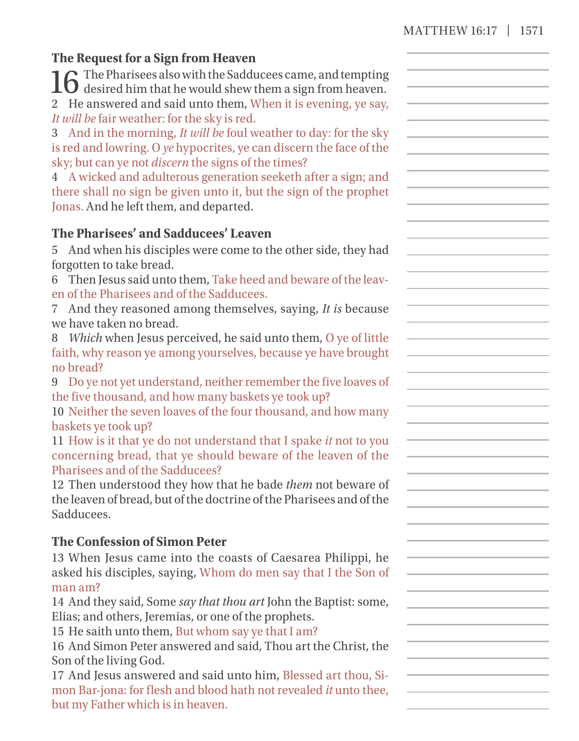## **The Request for a Sign from Heaven**

16 The Pharisees also with the Sadducees came, and tempting  $\mathbf 0$  desired him that he would shew them a sign from heaven. 2 He answered and said unto them, When it is evening, ye say, *It will be* fair weather: for the sky is red.

3 And in the morning, *It will be* foul weather to day: for the sky is red and lowring. O *ye* hypocrites, ye can discern the face of the sky; but can ye not *discern* the signs of the times?

4 A wicked and adulterous generation seeketh after a sign; and there shall no sign be given unto it, but the sign of the prophet Jonas. And he left them, and departed.

## **The Pharisees' and Sadducees' Leaven**

5 And when his disciples were come to the other side, they had forgotten to take bread.

6 Then Jesus said unto them, Take heed and beware of the leaven of the Pharisees and of the Sadducees.

7 And they reasoned among themselves, saying, *It is* because we have taken no bread.

8 *Which* when Jesus perceived, he said unto them, O ye of little faith, why reason ye among yourselves, because ye have brought no bread?

9 Do ye not yet understand, neither remember the five loaves of the five thousand, and how many baskets ye took up?

10 Neither the seven loaves of the four thousand, and how many baskets ye took up?

11 How is it that ye do not understand that I spake *it* not to you concerning bread, that ye should beware of the leaven of the Pharisees and of the Sadducees?

12 Then understood they how that he bade *them* not beware of the leaven of bread, but of the doctrine of the Pharisees and of the Sadducees.

## **The Confession of Simon Peter**

13 When Jesus came into the coasts of Caesarea Philippi, he asked his disciples, saying, Whom do men say that I the Son of man am?

14 And they said, Some *say that thou art* John the Baptist: some, Elias; and others, Jeremias, or one of the prophets.

15 He saith unto them, But whom say ye that I am?

16 And Simon Peter answered and said, Thou art the Christ, the Son of the living God.

17 And Jesus answered and said unto him, Blessed art thou, Simon Bar- jona: for flesh and blood hath not revealed *it* unto thee, but my Father which is in heaven.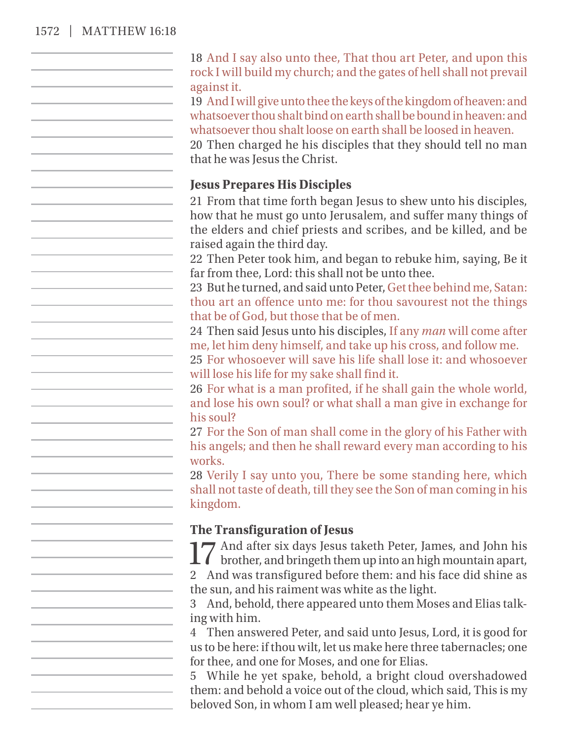#### 1572 | MATTHEW 16:18

18 And I say also unto thee, That thou art Peter, and upon this rock I will build my church; and the gates of hell shall not prevail against it. 19 And I will give unto thee the keys of the kingdom of heaven: and whatsoever thou shalt bind on earth shall be bound in heaven: and whatsoever thou shalt loose on earth shall be loosed in heaven. 20 Then charged he his disciples that they should tell no man that he was Jesus the Christ. **Jesus Prepares His Disciples** 21 From that time forth began Jesus to shew unto his disciples, how that he must go unto Jerusalem, and suffer many things of the elders and chief priests and scribes, and be killed, and be raised again the third day. 22 Then Peter took him, and began to rebuke him, saying, Be it far from thee, Lord: this shall not be unto thee. 23 But he turned, and said unto Peter, Get thee behind me, Satan: thou art an offence unto me: for thou savourest not the things that be of God, but those that be of men. 24 Then said Jesus unto his disciples, If any *man* will come after me, let him deny himself, and take up his cross, and follow me. 25 For whosoever will save his life shall lose it: and whosoever will lose his life for my sake shall find it. 26 For what is a man profited, if he shall gain the whole world, and lose his own soul? or what shall a man give in exchange for his soul? 27 For the Son of man shall come in the glory of his Father with his angels; and then he shall reward every man according to his works. 28 Verily I say unto you, There be some standing here, which shall not taste of death, till they see the Son of man coming in his kingdom. **The Transfiguration of Jesus** 17 And after six days Jesus taketh Peter, James, and John his brother, and bringeth them up into an high mountain apart, 2 And was transfigured before them: and his face did shine as the sun, and his raiment was white as the light. 3 And, behold, there appeared unto them Moses and Elias talking with him. 4 Then answered Peter, and said unto Jesus, Lord, it is good for us to be here: if thou wilt, let us make here three tabernacles; one for thee, and one for Moses, and one for Elias. 5 While he yet spake, behold, a bright cloud overshadowed them: and behold a voice out of the cloud, which said, This is my beloved Son, in whom I am well pleased; hear ye him.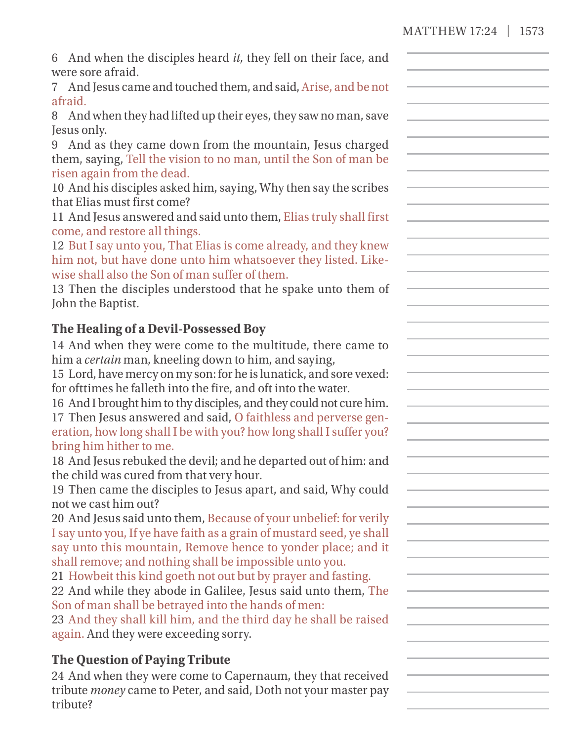## MATTHEW 17:24 | 1573

| 6 And when the disciples heard it, they fell on their face, and<br>were sore afraid.                                                                                                                                                                                                                                                                                                                                                                                                                                                                                                                                                                                                                                                                                                                                                                                                                                                                                                                                                                                                                                                                                                                                                                                                          |  |
|-----------------------------------------------------------------------------------------------------------------------------------------------------------------------------------------------------------------------------------------------------------------------------------------------------------------------------------------------------------------------------------------------------------------------------------------------------------------------------------------------------------------------------------------------------------------------------------------------------------------------------------------------------------------------------------------------------------------------------------------------------------------------------------------------------------------------------------------------------------------------------------------------------------------------------------------------------------------------------------------------------------------------------------------------------------------------------------------------------------------------------------------------------------------------------------------------------------------------------------------------------------------------------------------------|--|
| 7 And Jesus came and touched them, and said, Arise, and be not<br>afraid.                                                                                                                                                                                                                                                                                                                                                                                                                                                                                                                                                                                                                                                                                                                                                                                                                                                                                                                                                                                                                                                                                                                                                                                                                     |  |
| 8 And when they had lifted up their eyes, they saw no man, save                                                                                                                                                                                                                                                                                                                                                                                                                                                                                                                                                                                                                                                                                                                                                                                                                                                                                                                                                                                                                                                                                                                                                                                                                               |  |
| Jesus only.<br>9 And as they came down from the mountain, Jesus charged<br>them, saying, Tell the vision to no man, until the Son of man be<br>risen again from the dead.<br>10 And his disciples asked him, saying, Why then say the scribes<br>that Elias must first come?<br>11 And Jesus answered and said unto them, Elias truly shall first<br>come, and restore all things.<br>12 But I say unto you, That Elias is come already, and they knew<br>him not, but have done unto him whatsoever they listed. Like-<br>wise shall also the Son of man suffer of them.<br>13 Then the disciples understood that he spake unto them of<br>John the Baptist.                                                                                                                                                                                                                                                                                                                                                                                                                                                                                                                                                                                                                                 |  |
| The Healing of a Devil-Possessed Boy                                                                                                                                                                                                                                                                                                                                                                                                                                                                                                                                                                                                                                                                                                                                                                                                                                                                                                                                                                                                                                                                                                                                                                                                                                                          |  |
| 14 And when they were come to the multitude, there came to<br>him a certain man, kneeling down to him, and saying,<br>15 Lord, have mercy on my son: for he is lunatick, and sore vexed:<br>for ofttimes he falleth into the fire, and oft into the water.<br>16 And I brought him to thy disciples, and they could not cure him.<br>17 Then Jesus answered and said, O faithless and perverse gen-<br>eration, how long shall I be with you? how long shall I suffer you?<br>bring him hither to me.<br>18 And Jesus rebuked the devil; and he departed out of him: and<br>the child was cured from that very hour.<br>19 Then came the disciples to Jesus apart, and said, Why could<br>not we cast him out?<br>20 And Jesus said unto them, Because of your unbelief: for verily<br>I say unto you, If ye have faith as a grain of mustard seed, ye shall<br>say unto this mountain, Remove hence to yonder place; and it<br>shall remove; and nothing shall be impossible unto you.<br>21 Howbeit this kind goeth not out but by prayer and fasting.<br>22 And while they abode in Galilee, Jesus said unto them, The<br>Son of man shall be betrayed into the hands of men:<br>23 And they shall kill him, and the third day he shall be raised<br>again. And they were exceeding sorry. |  |
| <b>The Question of Paying Tribute</b><br>24 And when they were come to Capernaum, they that received<br>tribute money came to Peter, and said, Doth not your master pay<br>tribute?                                                                                                                                                                                                                                                                                                                                                                                                                                                                                                                                                                                                                                                                                                                                                                                                                                                                                                                                                                                                                                                                                                           |  |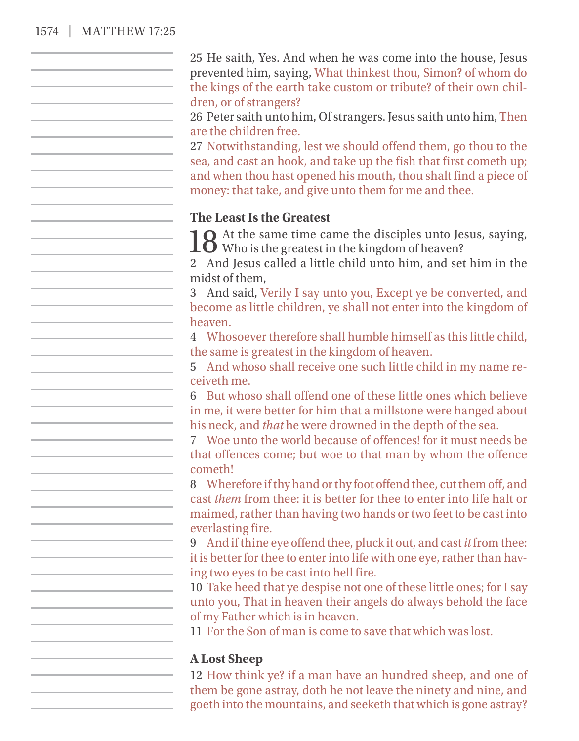## 1574 | MATTHEW 17:25

| 25 He saith, Yes. And when he was come into the house, Jesus<br>prevented him, saying, What thinkest thou, Simon? of whom do<br>the kings of the earth take custom or tribute? of their own chil-<br>dren, or of strangers?<br>26 Peter saith unto him, Of strangers. Jesus saith unto him, Then<br>are the children free.<br>27 Notwithstanding, lest we should offend them, go thou to the<br>sea, and cast an hook, and take up the fish that first cometh up;<br>and when thou hast opened his mouth, thou shalt find a piece of<br>money: that take, and give unto them for me and thee. |
|-----------------------------------------------------------------------------------------------------------------------------------------------------------------------------------------------------------------------------------------------------------------------------------------------------------------------------------------------------------------------------------------------------------------------------------------------------------------------------------------------------------------------------------------------------------------------------------------------|
| <b>The Least Is the Greatest</b><br>18 At the same time came the disciples unto Jesus, saying, Who is the greatest in the kingdom of heaven?<br>2 And Jesus called a little child unto him, and set him in the<br>midst of them,<br>3 And said, Verily I say unto you, Except ye be converted, and<br>become as little children, ye shall not enter into the kingdom of                                                                                                                                                                                                                       |
| heaven.<br>4 Whosoever therefore shall humble himself as this little child,<br>the same is greatest in the kingdom of heaven.<br>5 And whoso shall receive one such little child in my name re-<br>ceiveth me.<br>6 But whoso shall offend one of these little ones which believe                                                                                                                                                                                                                                                                                                             |
| in me, it were better for him that a millstone were hanged about<br>his neck, and that he were drowned in the depth of the sea.<br>Woe unto the world because of offences! for it must needs be<br>that offences come; but woe to that man by whom the offence<br>cometh!                                                                                                                                                                                                                                                                                                                     |
| 8 Wherefore if thy hand or thy foot offend thee, cut them off, and<br>cast them from thee: it is better for thee to enter into life halt or<br>maimed, rather than having two hands or two feet to be cast into<br>everlasting fire.<br>9 And if thine eye offend thee, pluck it out, and cast it from thee:                                                                                                                                                                                                                                                                                  |
| it is better for thee to enter into life with one eye, rather than hav-<br>ing two eyes to be cast into hell fire.<br>10 Take heed that ye despise not one of these little ones; for I say<br>unto you, That in heaven their angels do always behold the face<br>of my Father which is in heaven.<br>11 For the Son of man is come to save that which was lost.                                                                                                                                                                                                                               |
| <b>A Lost Sheep</b><br>12 How think ye? if a man have an hundred sheep, and one of<br>them be gone astray, doth he not leave the ninety and nine, and<br>goeth into the mountains, and seeketh that which is gone astray?                                                                                                                                                                                                                                                                                                                                                                     |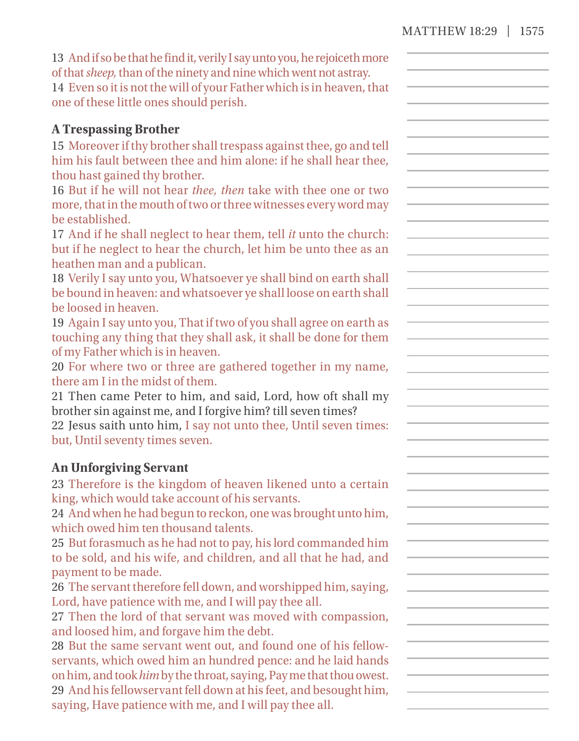| 13 And if so be that he find it, verily I say unto you, he rejoiceth more |
|---------------------------------------------------------------------------|
| of that <i>sheep</i> , than of the ninety and nine which went not astray. |
| 14 Even so it is not the will of your Father which is in heaven, that     |
| one of these little ones should perish.                                   |

#### **A Trespassing Brother**

15 Moreoverif thy brother shall trespass against thee, go and tell him his fault between thee and him alone: if he shall hear thee, thou hast gained thy brother.

16 But if he will not hear *thee, then* take with thee one or two more, that in the mouth of two or three witnesses every word may be established.

17 And if he shall neglect to hear them, tell *it* unto the church: but if he neglect to hear the church, let him be unto thee as an heathen man and a publican.

18 Verily I say unto you, Whatsoever ye shall bind on earth shall be bound in heaven: and whatsoever ye shall loose on earth shall be loosed in heaven.

19 Again I say unto you, That if two of you shall agree on earth as touching any thing that they shall ask, it shall be done for them of my Father which is in heaven.

20 For where two or three are gathered together in my name, there am I in the midst of them.

21 Then came Peter to him, and said, Lord, how oft shall my brother sin against me, and I forgive him? till seven times?

22 Jesus saith unto him, I say not unto thee, Until seven times: but, Until seventy times seven.

#### **An Unforgiving Servant**

23 Therefore is the kingdom of heaven likened unto a certain king, which would take account of his servants.

24 And when he had begun to reckon, one was brought unto him, which owed him ten thousand talents.

25 But forasmuch as he had not to pay, his lord commanded him to be sold, and his wife, and children, and all that he had, and payment to be made.

26 The servant therefore fell down, and worshipped him, saying, Lord, have patience with me, and I will pay thee all.

27 Then the lord of that servant was moved with compassion, and loosed him, and forgave him the debt.

28 But the same servant went out, and found one of his fellowservants, which owed him an hundred pence: and he laid hands on him, and took*him*by the throat, saying, Pay me that thou owest. 29 And his fellowservant fell down at his feet, and besought him, saying, Have patience with me, and I will pay thee all.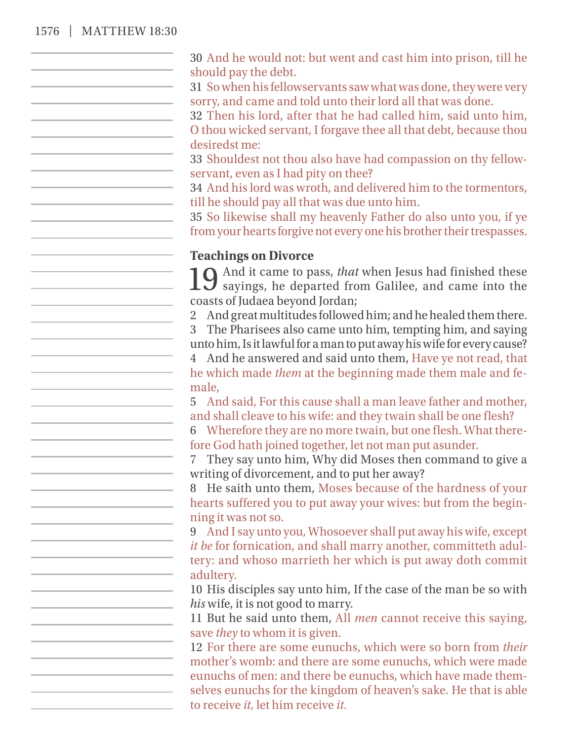#### 1576 | MATTHEW 18:30

30 And he would not: but went and cast him into prison, till he should pay the debt.

31 So when his fellowservants saw what was done, they were very sorry, and came and told unto their lord all that was done.

32 Then his lord, after that he had called him, said unto him,

O thou wicked servant, I forgave thee all that debt, because thou desiredst me:

33 Shouldest not thou also have had compassion on thy fellowservant, even as I had pity on thee?

34 And his lord was wroth, and delivered him to the tormentors, till he should pay all that was due unto him.

35 So likewise shall my heavenly Father do also unto you, if ye from your hearts forgive not every one his brother their trespasses.

#### **Teachings on Divorce**

10 And it came to pass, *that* when Jesus had finished these **J** sayings, he departed from Galilee, and came into the coasts of Judaea beyond Jordan;

2 And great multitudes followed him; and he healed them there.

3 The Pharisees also came unto him, tempting him, and saying unto him, Is it lawful for a man to put away his wife for every cause?

4 And he answered and said unto them, Have ye not read, that he which made *them* at the beginning made them male and female,

5 And said, For this cause shall a man leave father and mother, and shall cleave to his wife: and they twain shall be one flesh?

6 Wherefore they are no more twain, but one flesh. What therefore God hath joined together, let not man put asunder.

7 They say unto him, Why did Moses then command to give a writing of divorcement, and to put her away?

8 He saith unto them, Moses because of the hardness of your hearts suffered you to put away your wives: but from the beginning it was not so.

9 And I say unto you, Whosoever shall put away his wife, except *it be* for fornication, and shall marry another, committeth adultery: and whoso marrieth her which is put away doth commit adultery.

10 His disciples say unto him, If the case of the man be so with *his* wife, it is not good to marry.

11 But he said unto them, All *men* cannot receive this saying, save *they* to whom it is given.

12 For there are some eunuchs, which were so born from *their* mother's womb: and there are some eunuchs, which were made eunuchs of men: and there be eunuchs, which have made themselves eunuchs for the kingdom of heaven's sake. He that is able to receive *it,* let him receive *it.*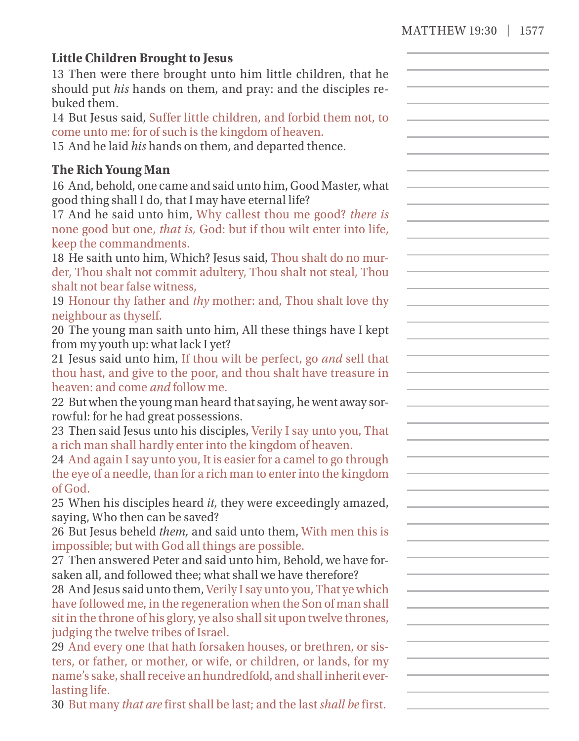$\sim$ 

## **Little Children Brought to Joseph**

| <b>Little Children Brought to Jesus</b><br>13 Then were there brought unto him little children, that he<br>should put his hands on them, and pray: and the disciples re-<br>buked them.<br>14 But Jesus said, Suffer little children, and forbid them not, to<br>come unto me: for of such is the kingdom of heaven.<br>15 And he laid his hands on them, and departed thence.                                                                                                               |  |
|----------------------------------------------------------------------------------------------------------------------------------------------------------------------------------------------------------------------------------------------------------------------------------------------------------------------------------------------------------------------------------------------------------------------------------------------------------------------------------------------|--|
| <b>The Rich Young Man</b><br>16 And, behold, one came and said unto him, Good Master, what<br>good thing shall I do, that I may have eternal life?<br>17 And he said unto him, Why callest thou me good? there is<br>none good but one, that is, God: but if thou wilt enter into life,<br>keep the commandments.<br>18 He saith unto him, Which? Jesus said, Thou shalt do no mur-<br>der, Thou shalt not commit adultery, Thou shalt not steal, Thou<br>shalt not bear false witness,      |  |
| 19 Honour thy father and thy mother: and, Thou shalt love thy<br>neighbour as thyself.<br>20 The young man saith unto him, All these things have I kept<br>from my youth up: what lack I yet?<br>21 Jesus said unto him, If thou wilt be perfect, go and sell that<br>thou hast, and give to the poor, and thou shalt have treasure in<br>heaven: and come <i>and</i> follow me.                                                                                                             |  |
| 22 But when the young man heard that saying, he went away sor-<br>rowful: for he had great possessions.<br>23 Then said Jesus unto his disciples, Verily I say unto you, That<br>a rich man shall hardly enter into the kingdom of heaven.<br>24 And again I say unto you, It is easier for a camel to go through<br>the eye of a needle, than for a rich man to enter into the kingdom<br>of God.                                                                                           |  |
| 25 When his disciples heard it, they were exceedingly amazed,<br>saying, Who then can be saved?<br>26 But Jesus beheld them, and said unto them, With men this is<br>impossible; but with God all things are possible.<br>27 Then answered Peter and said unto him, Behold, we have for-<br>saken all, and followed thee; what shall we have therefore?<br>28 And Jesus said unto them, Verily I say unto you, That ye which                                                                 |  |
| have followed me, in the regeneration when the Son of man shall<br>sit in the throne of his glory, ye also shall sit upon twelve thrones,<br>judging the twelve tribes of Israel.<br>29 And every one that hath forsaken houses, or brethren, or sis-<br>ters, or father, or mother, or wife, or children, or lands, for my<br>name's sake, shall receive an hundredfold, and shall inherit ever-<br>lasting life.<br>30 But many that are first shall be last; and the last shall be first. |  |
|                                                                                                                                                                                                                                                                                                                                                                                                                                                                                              |  |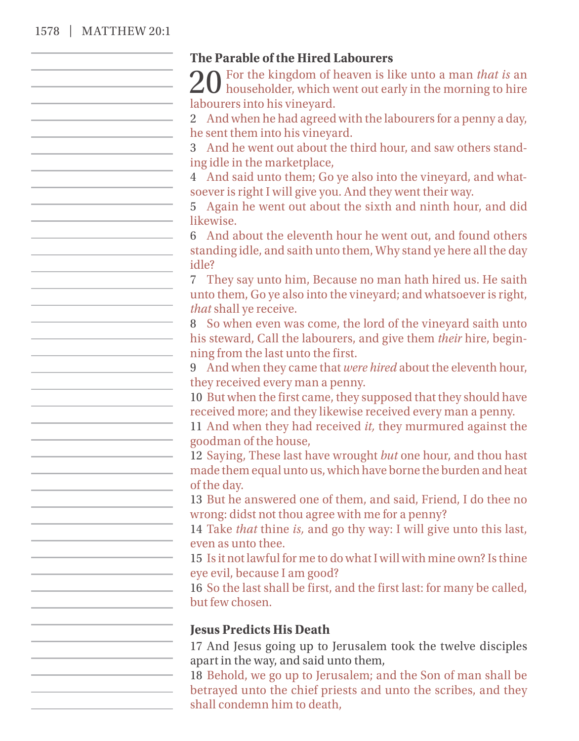## 1578 | MATTHEW 20:1

| The Parable of the Hired Labourers                                                                                              |
|---------------------------------------------------------------------------------------------------------------------------------|
| $20$ For the kingdom of heaven is like unto a man <i>that is</i> an householder, which went out early in the morning to hire    |
|                                                                                                                                 |
| labourers into his vineyard.                                                                                                    |
| 2 And when he had agreed with the labourers for a penny a day,                                                                  |
| he sent them into his vineyard.                                                                                                 |
| 3 And he went out about the third hour, and saw others stand-                                                                   |
| ing idle in the marketplace,                                                                                                    |
| 4 And said unto them; Go ye also into the vineyard, and what-                                                                   |
| soever is right I will give you. And they went their way.                                                                       |
| 5 Again he went out about the sixth and ninth hour, and did                                                                     |
| likewise.                                                                                                                       |
| 6 And about the eleventh hour he went out, and found others                                                                     |
| standing idle, and saith unto them, Why stand ye here all the day                                                               |
| idle?                                                                                                                           |
| 7 They say unto him, Because no man hath hired us. He saith                                                                     |
| unto them, Go ye also into the vineyard; and whatsoever is right,                                                               |
| that shall ye receive.                                                                                                          |
| 8 So when even was come, the lord of the vineyard saith unto                                                                    |
| his steward, Call the labourers, and give them their hire, begin-                                                               |
| ning from the last unto the first.                                                                                              |
| 9 And when they came that were hired about the eleventh hour,                                                                   |
| they received every man a penny.                                                                                                |
| 10 But when the first came, they supposed that they should have<br>received more; and they likewise received every man a penny. |
| 11 And when they had received it, they murmured against the                                                                     |
| goodman of the house,                                                                                                           |
| 12 Saying, These last have wrought but one hour, and thou hast                                                                  |
| made them equal unto us, which have borne the burden and heat                                                                   |
| of the day.                                                                                                                     |
| 13 But he answered one of them, and said, Friend, I do thee no                                                                  |
| wrong: didst not thou agree with me for a penny?                                                                                |
| 14 Take that thine is, and go thy way: I will give unto this last,                                                              |
| even as unto thee.                                                                                                              |
| 15 Is it not lawful for me to do what I will with mine own? Is thine                                                            |
| eye evil, because I am good?                                                                                                    |
| 16 So the last shall be first, and the first last: for many be called,                                                          |
| but few chosen.                                                                                                                 |
|                                                                                                                                 |
| <b>Jesus Predicts His Death</b>                                                                                                 |
| 17 And Jesus going up to Jerusalem took the twelve disciples                                                                    |
| apart in the way, and said unto them,                                                                                           |
| 18 Behold, we go up to Jerusalem; and the Son of man shall be                                                                   |
| betrayed unto the chief priests and unto the scribes, and they                                                                  |
| shall condemn him to death,                                                                                                     |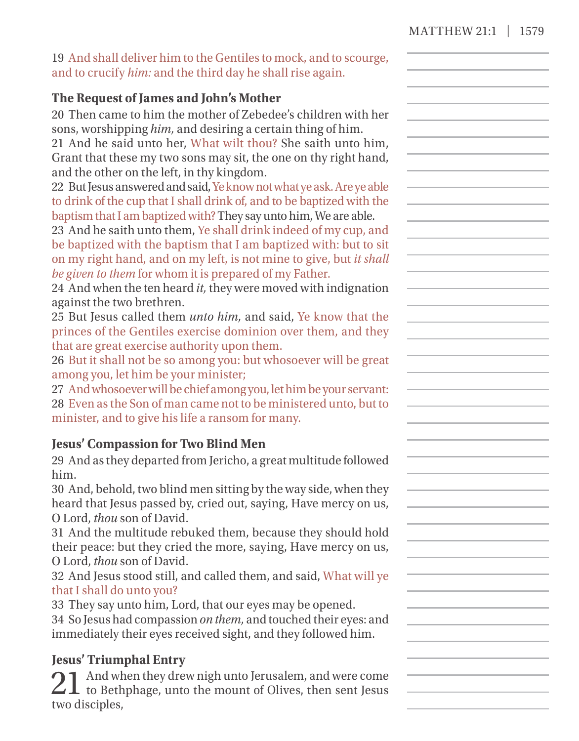| 19 And shall deliver him to the Gentiles to mock, and to scourge, |  |
|-------------------------------------------------------------------|--|
| and to crucify him: and the third day he shall rise again.        |  |

## **The Request of James and John's Mother**

20 Then came to him the mother of Zebedee's children with her sons, worshipping *him,* and desiring a certain thing of him. 21 And he said unto her, What wilt thou? She saith unto him, Grant that these my two sons may sit, the one on thy right hand, and the other on the left, in thy kingdom.

22 But Jesus answered and said, Ye know not what ye ask. Are ye able to drink of the cup that I shall drink of, and to be baptized with the baptism that I am baptized with? They say unto him, We are able.

23 And he saith unto them, Ye shall drink indeed of my cup, and be baptized with the baptism that I am baptized with: but to sit on my right hand, and on my left, is not mine to give, but *it shall be given to them* for whom it is prepared of my Father.

24 And when the ten heard *it,* they were moved with indignation against the two brethren.

25 But Jesus called them *unto him,* and said, Ye know that the princes of the Gentiles exercise dominion over them, and they that are great exercise authority upon them.

26 But it shall not be so among you: but whosoever will be great among you, let him be your minister;

27 And whosoever will be chief among you, let him be your servant: 28 Even as the Son of man came not to be ministered unto, but to minister, and to give his life a ransom for many.

## **Jesus' Compassion for Two Blind Men**

29 And as they departed from Jericho, a great multitude followed him.

30 And, behold, two blind men sitting by the way side, when they heard that Jesus passed by, cried out, saying, Have mercy on us, O Lord, *thou* son of David.

31 And the multitude rebuked them, because they should hold their peace: but they cried the more, saying, Have mercy on us, O Lord, *thou* son of David.

32 And Jesus stood still, and called them, and said, What will ye that I shall do unto you?

33 They say unto him, Lord, that our eyes may be opened.

34 So Jesus had compassion *on them,* and touched their eyes: and immediately their eyes received sight, and they followed him.

## **Jesus' Triumphal Entry**

21 And when they drew nigh unto Jerusalem, and were come to Bethphage, unto the mount of Olives, then sent Jesus two disciples,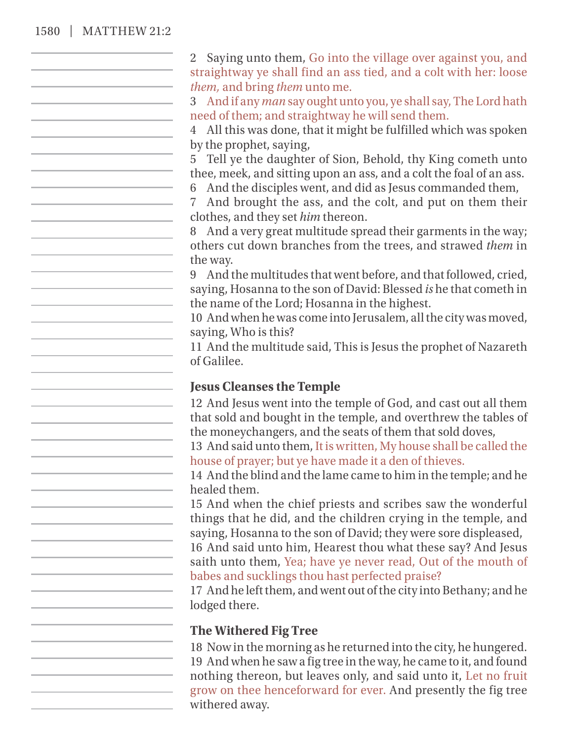#### 1580 | MATTHEW 21:2

2 Saying unto them, Go into the village over against you, and straightway ye shall find an ass tied, and a colt with her: loose *them,* and bring *them* unto me. 3 And if any *man* say ought unto you, ye shall say, The Lord hath need of them; and straightway he will send them. 4 All this was done, that it might be fulfilled which was spoken by the prophet, saying, 5 Tell ye the daughter of Sion, Behold, thy King cometh unto thee, meek, and sitting upon an ass, and a colt the foal of an ass. 6 And the disciples went, and did as Jesus commanded them, 7 And brought the ass, and the colt, and put on them their clothes, and they set *him* thereon. 8 And a very great multitude spread their garments in the way; others cut down branches from the trees, and strawed *them* in the way. 9 And the multitudes that went before, and that followed, cried, saying, Hosanna to the son of David: Blessed *is* he that cometh in the name of the Lord; Hosanna in the highest. 10 And when he was come into Jerusalem, all the city was moved, saying, Who is this? 11 And the multitude said, This is Jesus the prophet of Nazareth of Galilee. **Jesus Cleanses the Temple** 12 And Jesus went into the temple of God, and cast out all them that sold and bought in the temple, and overthrew the tables of the moneychangers, and the seats of them that sold doves, 13 And said unto them, It is written, My house shall be called the house of prayer; but ye have made it a den of thieves. 14 And the blind and the lame came to him in the temple; and he healed them. 15 And when the chief priests and scribes saw the wonderful things that he did, and the children crying in the temple, and saying, Hosanna to the son of David; they were sore displeased, 16 And said unto him, Hearest thou what these say? And Jesus saith unto them, Yea; have ye never read, Out of the mouth of babes and sucklings thou hast perfected praise? 17 And he left them, and went out of the city into Bethany; and he lodged there. **The Withered Fig Tree** 18 Now in the morning as he returned into the city, he hungered. 19 And when he saw a fig tree in the way, he came to it, and found nothing thereon, but leaves only, and said unto it, Let no fruit grow on thee henceforward for ever. And presently the fig tree withered away.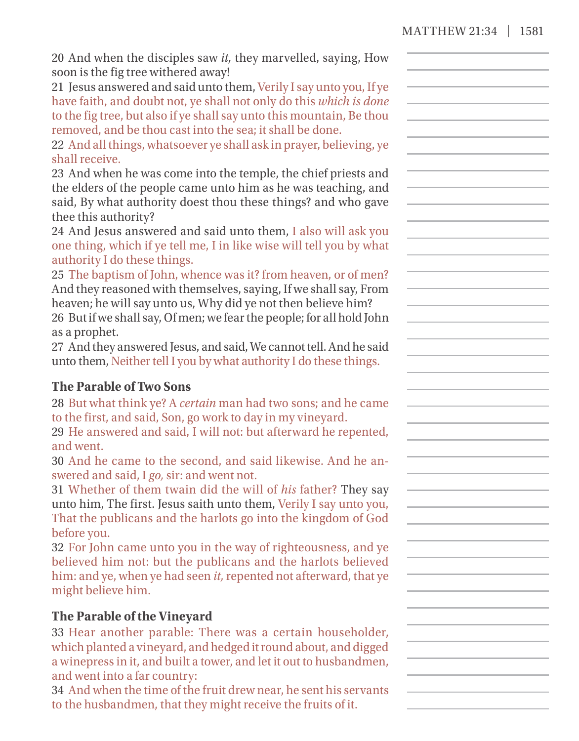| 20 And when the disciples saw it, they marvelled, saying, How<br>soon is the fig tree withered away! |  |
|------------------------------------------------------------------------------------------------------|--|
| 21 Jesus answered and said unto them, Verily I say unto you, If ye                                   |  |
| have faith, and doubt not, ye shall not only do this which is done                                   |  |
| to the fig tree, but also if ye shall say unto this mountain, Be thou                                |  |
| removed, and be thou cast into the sea; it shall be done.                                            |  |
| 22 And all things, whatsoever ye shall ask in prayer, believing, ye                                  |  |
| shall receive.                                                                                       |  |
| 23 And when he was come into the temple, the chief priests and                                       |  |
| the elders of the people came unto him as he was teaching, and                                       |  |
| said, By what authority doest thou these things? and who gave                                        |  |
| thee this authority?                                                                                 |  |
| 24 And Jesus answered and said unto them, I also will ask you                                        |  |
| one thing, which if ye tell me, I in like wise will tell you by what                                 |  |
| authority I do these things.                                                                         |  |
| 25 The baptism of John, whence was it? from heaven, or of men?                                       |  |
| And they reasoned with themselves, saying, If we shall say, From                                     |  |
| heaven; he will say unto us, Why did ye not then believe him?                                        |  |
| 26 But if we shall say, Of men; we fear the people; for all hold John                                |  |
| as a prophet.                                                                                        |  |
| 27 And they answered Jesus, and said, We cannot tell. And he said                                    |  |
| unto them, Neither tell I you by what authority I do these things.                                   |  |
|                                                                                                      |  |
| <b>The Parable of Two Sons</b>                                                                       |  |
| 28 But what think ye? A certain man had two sons; and he came                                        |  |
|                                                                                                      |  |
| to the first, and said, Son, go work to day in my vineyard.                                          |  |
| 29 He answered and said, I will not: but afterward he repented,                                      |  |
| and went.                                                                                            |  |
| 30 And he came to the second, and said likewise. And he an-                                          |  |
| swered and said, I go, sir: and went not.                                                            |  |
| 31 Whether of them twain did the will of his father? They say                                        |  |
| unto him, The first. Jesus saith unto them, Verily I say unto you,                                   |  |
| That the publicans and the harlots go into the kingdom of God                                        |  |
| before you.                                                                                          |  |
| 32 For John came unto you in the way of righteousness, and ye                                        |  |
| believed him not: but the publicans and the harlots believed                                         |  |
| him: and ye, when ye had seen it, repented not afterward, that ye                                    |  |
| might believe him.                                                                                   |  |
| The Parable of the Vineyard                                                                          |  |
| 33 Hear another parable: There was a certain householder,                                            |  |
| which planted a vineyard, and hedged it round about, and digged                                      |  |
| a winepress in it, and built a tower, and let it out to husbandmen,                                  |  |
|                                                                                                      |  |
| and went into a far country:                                                                         |  |
| 34 And when the time of the fruit drew near, he sent his servants                                    |  |
| to the husbandmen, that they might receive the fruits of it.                                         |  |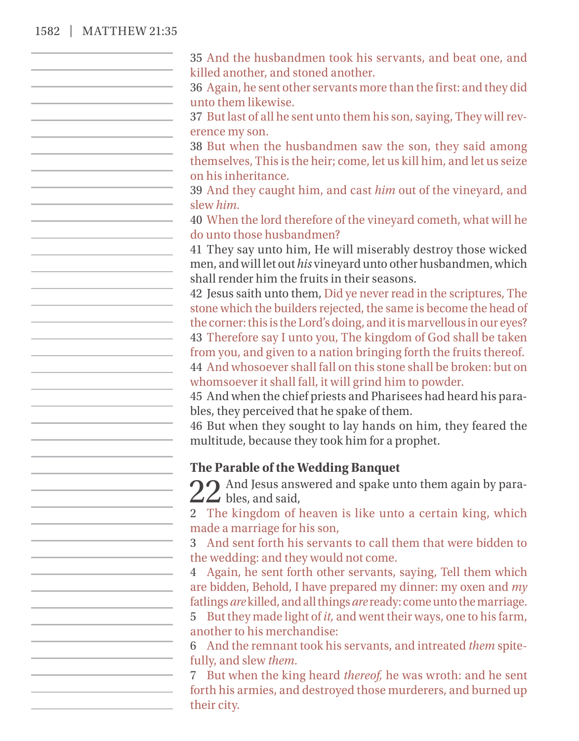## 1582 | MATTHEW 21:35

| 35 And the husbandmen took his servants, and beat one, and                                                                              |
|-----------------------------------------------------------------------------------------------------------------------------------------|
| killed another, and stoned another.                                                                                                     |
| 36 Again, he sent other servants more than the first: and they did<br>unto them likewise.                                               |
| 37 But last of all he sent unto them his son, saying, They will rev-                                                                    |
| erence my son.                                                                                                                          |
| 38 But when the husbandmen saw the son, they said among                                                                                 |
| themselves, This is the heir; come, let us kill him, and let us seize                                                                   |
| on his inheritance.                                                                                                                     |
| 39 And they caught him, and cast him out of the vineyard, and                                                                           |
| slew him.                                                                                                                               |
| 40 When the lord therefore of the vineyard cometh, what will he                                                                         |
| do unto those husbandmen?                                                                                                               |
| 41 They say unto him, He will miserably destroy those wicked<br>men, and will let out his vineyard unto other husbandmen, which         |
| shall render him the fruits in their seasons.                                                                                           |
| 42 Jesus saith unto them, Did ye never read in the scriptures, The                                                                      |
| stone which the builders rejected, the same is become the head of                                                                       |
| the corner: this is the Lord's doing, and it is marvellous in our eyes?                                                                 |
| 43 Therefore say I unto you, The kingdom of God shall be taken                                                                          |
| from you, and given to a nation bringing forth the fruits thereof.<br>44 And whosoever shall fall on this stone shall be broken: but on |
| whomsoever it shall fall, it will grind him to powder.                                                                                  |
| 45 And when the chief priests and Pharisees had heard his para-                                                                         |
| bles, they perceived that he spake of them.                                                                                             |
| 46 But when they sought to lay hands on him, they feared the                                                                            |
| multitude, because they took him for a prophet.                                                                                         |
|                                                                                                                                         |
| The Parable of the Wedding Banquet                                                                                                      |
| $22$ And Jesus answered and spake unto them again by para-<br>                                                                          |
| 2 The kingdom of heaven is like unto a certain king, which                                                                              |
| made a marriage for his son,                                                                                                            |
| 3 And sent forth his servants to call them that were bidden to                                                                          |
| the wedding: and they would not come.                                                                                                   |
| Again, he sent forth other servants, saying, Tell them which<br>$\overline{4}$                                                          |
| are bidden, Behold, I have prepared my dinner: my oxen and my                                                                           |
| fatlings are killed, and all things are ready: come unto the marriage.                                                                  |
| 5 But they made light of it, and went their ways, one to his farm,<br>another to his merchandise:                                       |
| 6 And the remnant took his servants, and intreated them spite-                                                                          |
| fully, and slew them.                                                                                                                   |
| 7 But when the king heard <i>thereof</i> , he was wroth: and he sent                                                                    |
| forth his armies, and destroyed those murderers, and burned up                                                                          |
| their city.                                                                                                                             |
|                                                                                                                                         |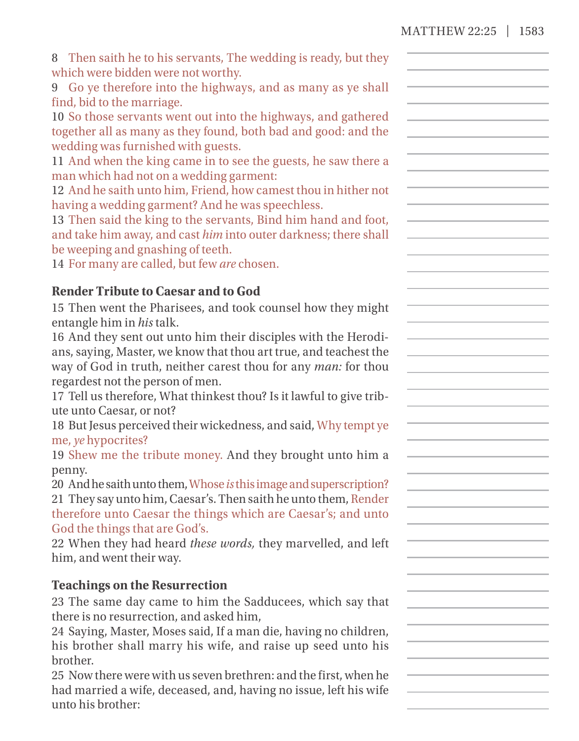| 8 Then saith he to his servants, The wedding is ready, but they |  |
|-----------------------------------------------------------------|--|
| which were bidden were not worthy.                              |  |

9 Go ye therefore into the highways, and as many as ye shall find, bid to the marriage.

10 So those servants went out into the highways, and gathered together all as many as they found, both bad and good: and the wedding was furnished with guests.

11 And when the king came in to see the guests, he saw there a man which had not on a wedding garment:

12 And he saith unto him, Friend, how camest thou in hither not having a wedding garment? And he was speechless.

13 Then said the king to the servants, Bind him hand and foot, and take him away, and cast *him* into outer darkness; there shall be weeping and gnashing of teeth.

14 For many are called, but few *are* chosen.

## **Render Tribute to Caesar and to God**

15 Then went the Pharisees, and took counsel how they might entangle him in *his* talk.

16 And they sent out unto him their disciples with the Herodians, saying, Master, we know that thou art true, and teachest the way of God in truth, neither carest thou for any *man:* for thou regardest not the person of men.

17 Tell us therefore, What thinkest thou? Is it lawful to give tribute unto Caesar, or not?

18 But Jesus perceived their wickedness, and said, Why tempt ye me, *ye* hypocrites?

19 Shew me the tribute money. And they brought unto him a penny.

20 And he saith unto them, Whose*is*this image andsuperscription? 21 They say unto him, Caesar's. Then saith he unto them, Render therefore unto Caesar the things which are Caesar's; and unto God the things that are God's.

22 When they had heard *these words,* they marvelled, and left him, and went their way.

## **Teachings on the Resurrection**

23 The same day came to him the Sadducees, which say that there is no resurrection, and asked him,

24 Saying, Master, Moses said, If a man die, having no children, his brother shall marry his wife, and raise up seed unto his brother.

25 Now there were with us seven brethren: and the first, when he had married a wife, deceased, and, having no issue, left his wife unto his brother: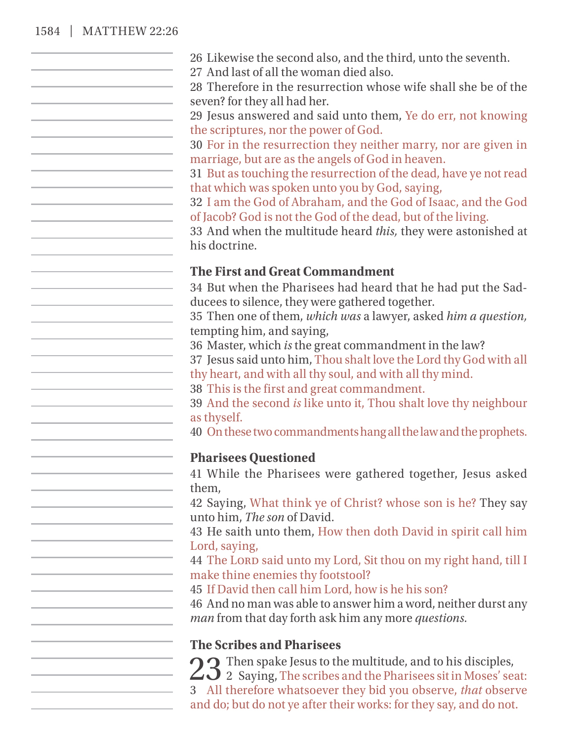## 1584 | MATTHEW 22:26

| 26 Likewise the second also, and the third, unto the seventh.                                                                 |
|-------------------------------------------------------------------------------------------------------------------------------|
| 27 And last of all the woman died also.<br>28 Therefore in the resurrection whose wife shall she be of the                    |
| seven? for they all had her.                                                                                                  |
| 29 Jesus answered and said unto them, Ye do err, not knowing<br>the scriptures, nor the power of God.                         |
| 30 For in the resurrection they neither marry, nor are given in                                                               |
| marriage, but are as the angels of God in heaven.                                                                             |
| 31 But as touching the resurrection of the dead, have ye not read                                                             |
| that which was spoken unto you by God, saying,                                                                                |
| 32 I am the God of Abraham, and the God of Isaac, and the God<br>of Jacob? God is not the God of the dead, but of the living. |
| 33 And when the multitude heard this, they were astonished at                                                                 |
| his doctrine.                                                                                                                 |
| The First and Great Commandment                                                                                               |
| 34 But when the Pharisees had heard that he had put the Sad-                                                                  |
| ducees to silence, they were gathered together.                                                                               |
| 35 Then one of them, which was a lawyer, asked him a question,                                                                |
| tempting him, and saying,                                                                                                     |
| 36 Master, which is the great commandment in the law?                                                                         |
| 37 Jesus said unto him, Thou shalt love the Lord thy God with all                                                             |
| thy heart, and with all thy soul, and with all thy mind.                                                                      |
| 38 This is the first and great commandment.                                                                                   |
| 39 And the second is like unto it, Thou shalt love thy neighbour                                                              |
| as thyself.                                                                                                                   |
| 40 On these two commandments hang all the law and the prophets.                                                               |
| <b>Pharisees Questioned</b>                                                                                                   |
| 41 While the Pharisees were gathered together, Jesus asked                                                                    |
| them.                                                                                                                         |
| 42 Saying, What think ye of Christ? whose son is he? They say                                                                 |
| unto him, The son of David.                                                                                                   |
| 43 He saith unto them, How then doth David in spirit call him                                                                 |
| Lord, saying,                                                                                                                 |
| 44 The LORD said unto my Lord, Sit thou on my right hand, till I                                                              |
| make thine enemies thy footstool?                                                                                             |
| 45 If David then call him Lord, how is he his son?                                                                            |
| 46 And no man was able to answer him a word, neither durst any<br>man from that day forth ask him any more questions.         |
|                                                                                                                               |
| <b>The Scribes and Pharisees</b>                                                                                              |
| <b>O</b> Then spake Jesus to the multitude, and to his disciples,                                                             |
| $\mathbf{\Delta}$ 2 Saying, The scribes and the Pharisees sit in Moses' seat:                                                 |
| 3 All therefore whatsoever they bid you observe, that observe                                                                 |
| and do; but do not ye after their works: for they say, and do not.                                                            |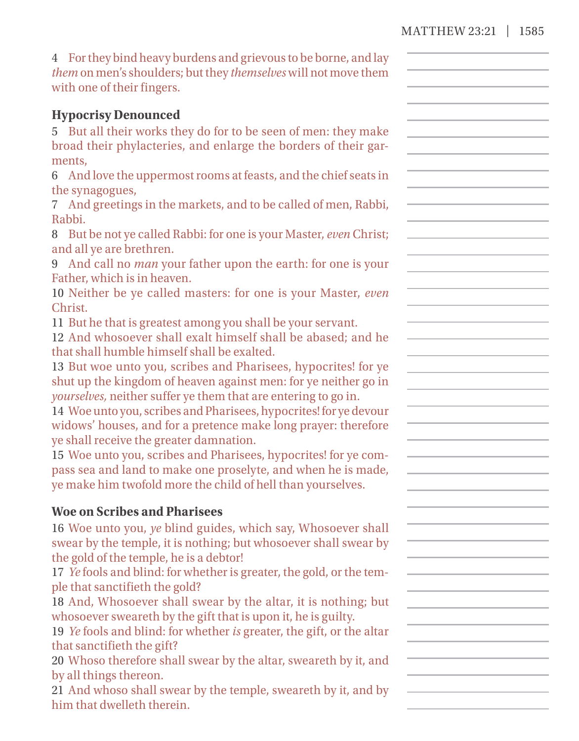| 4 For they bind heavy burdens and grievous to be borne, and lay<br>them on men's shoulders; but they themselves will not move them<br>with one of their fingers.             |  |
|------------------------------------------------------------------------------------------------------------------------------------------------------------------------------|--|
| <b>Hypocrisy Denounced</b>                                                                                                                                                   |  |
| 5 But all their works they do for to be seen of men: they make<br>broad their phylacteries, and enlarge the borders of their gar-                                            |  |
| ments,                                                                                                                                                                       |  |
| 6 And love the uppermost rooms at feasts, and the chief seats in                                                                                                             |  |
| the synagogues,<br>7 And greetings in the markets, and to be called of men, Rabbi,<br>Rabbi.                                                                                 |  |
| 8 But be not ye called Rabbi: for one is your Master, even Christ;<br>and all ye are brethren.                                                                               |  |
| 9 And call no <i>man</i> your father upon the earth: for one is your<br>Father, which is in heaven.                                                                          |  |
| 10 Neither be ye called masters: for one is your Master, even<br>Christ.                                                                                                     |  |
| 11 But he that is greatest among you shall be your servant.<br>12 And whosoever shall exalt himself shall be abased; and he<br>that shall humble himself shall be exalted.   |  |
| 13 But woe unto you, scribes and Pharisees, hypocrites! for ye<br>shut up the kingdom of heaven against men: for ye neither go in                                            |  |
| yourselves, neither suffer ye them that are entering to go in.<br>14 Woe unto you, scribes and Pharisees, hypocrites! for ye devour                                          |  |
| widows' houses, and for a pretence make long prayer: therefore<br>ye shall receive the greater damnation.<br>15 Woe unto you, scribes and Pharisees, hypocrites! for ye com- |  |
| pass sea and land to make one proselyte, and when he is made,<br>ye make him twofold more the child of hell than yourselves.                                                 |  |
| <b>Woe on Scribes and Pharisees</b>                                                                                                                                          |  |
| 16 Woe unto you, ye blind guides, which say, Whosoever shall<br>swear by the temple, it is nothing; but whosoever shall swear by                                             |  |
| the gold of the temple, he is a debtor!<br>17 Ye fools and blind: for whether is greater, the gold, or the tem-<br>ple that sanctifieth the gold?                            |  |
| 18 And, Whosoever shall swear by the altar, it is nothing; but<br>whosoever sweareth by the gift that is upon it, he is guilty.                                              |  |
| 19 Ye fools and blind: for whether is greater, the gift, or the altar<br>that sanctifieth the gift?                                                                          |  |
| 20 Whoso therefore shall swear by the altar, sweareth by it, and<br>by all things thereon.                                                                                   |  |
| 21 And whoso shall swear by the temple, sweareth by it, and by<br>him that dwelleth therein.                                                                                 |  |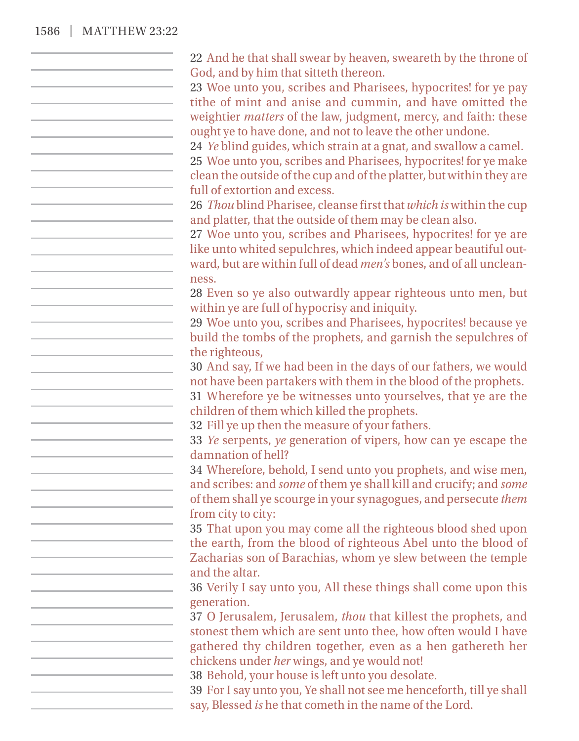#### 1586 | MATTHEW 23:22

22 And he that shall swear by heaven, sweareth by the throne of God, and by him that sitteth thereon. 23 Woe unto you, scribes and Pharisees, hypocrites! for ye pay tithe of mint and anise and cummin, and have omitted the weightier *matters* of the law, judgment, mercy, and faith: these ought ye to have done, and not to leave the other undone. 24 *Ye* blind guides, which strain at a gnat, and swallow a camel. 25 Woe unto you, scribes and Pharisees, hypocrites! for ye make clean the outside of the cup and of the platter, but within they are full of extortion and excess. 26 *Thou* blind Pharisee, cleanse first that *which is* within the cup and platter, that the outside of them may be clean also. 27 Woe unto you, scribes and Pharisees, hypocrites! for ye are like unto whited sepulchres, which indeed appear beautiful outward, but are within full of dead *men's* bones, and of all uncleanness. 28 Even so ye also outwardly appear righteous unto men, but within ye are full of hypocrisy and iniquity. 29 Woe unto you, scribes and Pharisees, hypocrites! because ye build the tombs of the prophets, and garnish the sepulchres of the righteous, 30 And say, If we had been in the days of our fathers, we would  $\mathcal{L}^{\mathcal{L}}(\mathcal{L}^{\mathcal{L}})$  and  $\mathcal{L}^{\mathcal{L}}(\mathcal{L}^{\mathcal{L}})$  . In the contribution of the  $\mathcal{L}^{\mathcal{L}}(\mathcal{L}^{\mathcal{L}})$ not have been partakers with them in the blood of the prophets. 31 Wherefore ye be witnesses unto yourselves, that ye are the children of them which killed the prophets. 32 Fill ye up then the measure of your fathers. 33 *Ye* serpents, *ye* generation of vipers, how can ye escape the damnation of hell? 34 Wherefore, behold, I send unto you prophets, and wise men, and scribes: and *some* of them ye shall kill and crucify; and *some* of them shall ye scourge in your synagogues, and persecute *them* from city to city: 35 That upon you may come all the righteous blood shed upon the earth, from the blood of righteous Abel unto the blood of Zacharias son of Barachias, whom ye slew between the temple and the altar. 36 Verily I say unto you, All these things shall come upon this generation. 37 O Jerusalem, Jerusalem, *thou* that killest the prophets, and stonest them which are sent unto thee, how often would I have gathered thy children together, even as a hen gathereth her chickens under *her* wings, and ye would not! 38 Behold, your house is left unto you desolate. 39 For I say unto you, Ye shall not see me henceforth, till ye shall say, Blessed *is* he that cometh in the name of the Lord.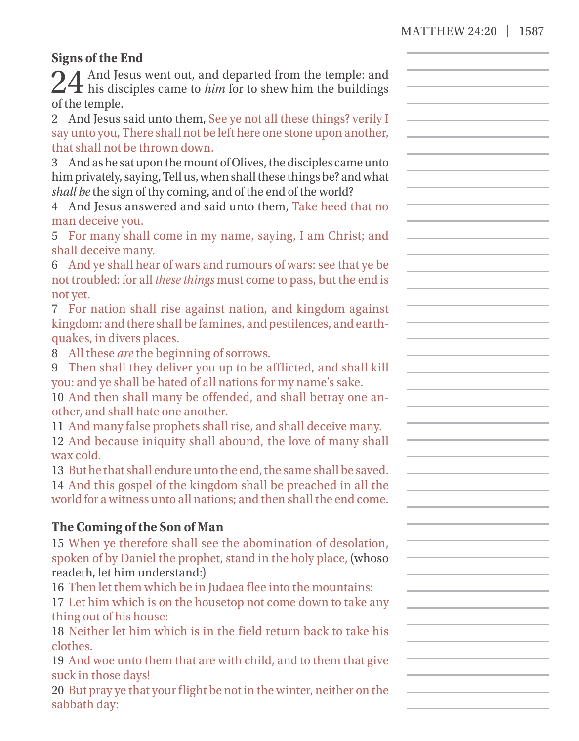## **Signs of the End**

| 24 And Jesus went out, and departed from the temple: and<br>24 his disciples came to <i>him</i> for to shew him the buildings |  |
|-------------------------------------------------------------------------------------------------------------------------------|--|
| of the temple.                                                                                                                |  |
| 2 And Jesus said unto them, See ye not all these things? verily I                                                             |  |
| say unto you, There shall not be left here one stone upon another,                                                            |  |
| that shall not be thrown down.                                                                                                |  |
| 3 And as he sat upon the mount of Olives, the disciples came unto                                                             |  |
| him privately, saying, Tell us, when shall these things be? and what                                                          |  |
| shall be the sign of thy coming, and of the end of the world?                                                                 |  |
| 4 And Jesus answered and said unto them, Take heed that no                                                                    |  |
| man deceive you.                                                                                                              |  |
| 5 For many shall come in my name, saying, I am Christ; and                                                                    |  |
| shall deceive many.                                                                                                           |  |
| 6 And ye shall hear of wars and rumours of wars: see that ye be                                                               |  |
| not troubled: for all these things must come to pass, but the end is                                                          |  |
| not yet.                                                                                                                      |  |
| 7 For nation shall rise against nation, and kingdom against                                                                   |  |
| kingdom: and there shall be famines, and pestilences, and earth-                                                              |  |
| quakes, in divers places.                                                                                                     |  |
| 8 All these are the beginning of sorrows.                                                                                     |  |
| 9 Then shall they deliver you up to be afflicted, and shall kill                                                              |  |
| you: and ye shall be hated of all nations for my name's sake.                                                                 |  |
| 10 And then shall many be offended, and shall betray one an-                                                                  |  |
| other, and shall hate one another.                                                                                            |  |
| 11 And many false prophets shall rise, and shall deceive many.                                                                |  |
| 12 And because iniquity shall abound, the love of many shall                                                                  |  |
| wax cold.                                                                                                                     |  |
| 13 But he that shall endure unto the end, the same shall be saved.                                                            |  |
| 14 And this gospel of the kingdom shall be preached in all the                                                                |  |
| world for a witness unto all nations; and then shall the end come.                                                            |  |
| The Coming of the Son of Man                                                                                                  |  |
| 15 When ye therefore shall see the abomination of desolation,                                                                 |  |
| spoken of by Daniel the prophet, stand in the holy place, (whoso                                                              |  |
| readeth, let him understand:)                                                                                                 |  |
| 16 Then let them which be in Judaea flee into the mountains:                                                                  |  |
| 17 Let him which is on the housetop not come down to take any                                                                 |  |
| thing out of his house:                                                                                                       |  |
| 18 Neither let him which is in the field return back to take his                                                              |  |
| clothes.                                                                                                                      |  |
| 19 And woe unto them that are with child, and to them that give                                                               |  |
| suck in those days!                                                                                                           |  |
| 20 But pray ye that your flight be not in the winter, neither on the                                                          |  |
| sabbath day:                                                                                                                  |  |
|                                                                                                                               |  |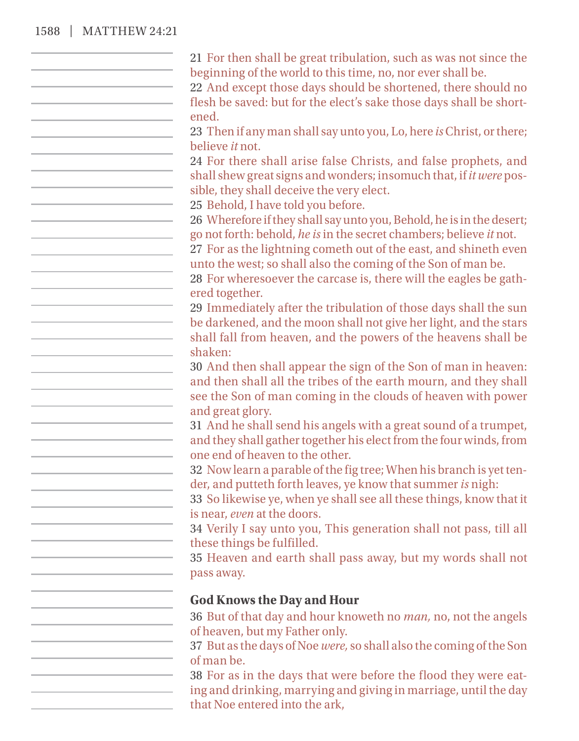## 1588 | MATTHEW 24:21

| 21 For then shall be great tribulation, such as was not since the                                  |
|----------------------------------------------------------------------------------------------------|
| beginning of the world to this time, no, nor ever shall be.                                        |
| 22 And except those days should be shortened, there should no                                      |
| flesh be saved: but for the elect's sake those days shall be short-                                |
| ened.                                                                                              |
| 23 Then if any man shall say unto you, Lo, here is Christ, or there;                               |
| believe it not.                                                                                    |
| 24 For there shall arise false Christs, and false prophets, and                                    |
| shall shew great signs and wonders; insomuch that, if it were pos-                                 |
| sible, they shall deceive the very elect.                                                          |
| 25 Behold, I have told you before.                                                                 |
| 26 Wherefore if they shall say unto you, Behold, he is in the desert;                              |
| go not forth: behold, he is in the secret chambers; believe it not.                                |
| 27 For as the lightning cometh out of the east, and shineth even                                   |
| unto the west; so shall also the coming of the Son of man be.                                      |
| 28 For wheresoever the carcase is, there will the eagles be gath-                                  |
| ered together.                                                                                     |
| 29 Immediately after the tribulation of those days shall the sun                                   |
| be darkened, and the moon shall not give her light, and the stars                                  |
| shall fall from heaven, and the powers of the heavens shall be                                     |
| shaken:                                                                                            |
| 30 And then shall appear the sign of the Son of man in heaven:                                     |
| and then shall all the tribes of the earth mourn, and they shall                                   |
| see the Son of man coming in the clouds of heaven with power                                       |
| and great glory.                                                                                   |
| 31 And he shall send his angels with a great sound of a trumpet,                                   |
| and they shall gather together his elect from the four winds, from                                 |
| one end of heaven to the other.                                                                    |
| 32 Now learn a parable of the fig tree; When his branch is yet ten-                                |
| der, and putteth forth leaves, ye know that summer is nigh:                                        |
| 33 So likewise ye, when ye shall see all these things, know that it                                |
| is near, even at the doors.                                                                        |
| 34 Verily I say unto you, This generation shall not pass, till all                                 |
| these things be fulfilled.                                                                         |
| 35 Heaven and earth shall pass away, but my words shall not                                        |
| pass away.                                                                                         |
|                                                                                                    |
| <b>God Knows the Day and Hour</b>                                                                  |
| 36 But of that day and hour knoweth no man, no, not the angels<br>of heaven, but my Father only.   |
| 37 But as the days of Noe were, so shall also the coming of the Son                                |
| of man be.                                                                                         |
| 38 For as in the days that were before the flood they were eat-                                    |
|                                                                                                    |
| ing and drinking, marrying and giving in marriage, until the day<br>that Noe entered into the ark, |
|                                                                                                    |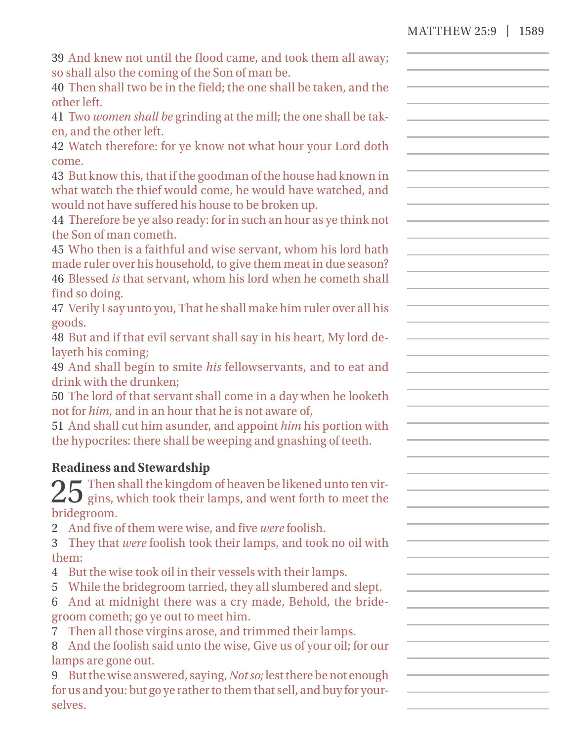| MATTHEW 25:9   1589 |  |
|---------------------|--|

| 39 And knew not until the flood came, and took them all away;                                                                     |  |
|-----------------------------------------------------------------------------------------------------------------------------------|--|
| so shall also the coming of the Son of man be.                                                                                    |  |
| 40 Then shall two be in the field; the one shall be taken, and the<br>other left.                                                 |  |
| 41 Two women shall be grinding at the mill; the one shall be tak-                                                                 |  |
| en, and the other left.                                                                                                           |  |
| 42 Watch therefore: for ye know not what hour your Lord doth                                                                      |  |
| come.                                                                                                                             |  |
| 43 But know this, that if the goodman of the house had known in                                                                   |  |
| what watch the thief would come, he would have watched, and                                                                       |  |
| would not have suffered his house to be broken up.                                                                                |  |
| 44 Therefore be ye also ready: for in such an hour as ye think not                                                                |  |
| the Son of man cometh.                                                                                                            |  |
| 45 Who then is a faithful and wise servant, whom his lord hath                                                                    |  |
| made ruler over his household, to give them meat in due season?<br>46 Blessed is that servant, whom his lord when he cometh shall |  |
| find so doing.                                                                                                                    |  |
| 47 Verily I say unto you, That he shall make him ruler over all his                                                               |  |
| goods.                                                                                                                            |  |
| 48 But and if that evil servant shall say in his heart, My lord de-                                                               |  |
| layeth his coming;                                                                                                                |  |
| 49 And shall begin to smite his fellowservants, and to eat and                                                                    |  |
| drink with the drunken;                                                                                                           |  |
| 50 The lord of that servant shall come in a day when he looketh                                                                   |  |
| not for him, and in an hour that he is not aware of,                                                                              |  |
| 51 And shall cut him asunder, and appoint him his portion with                                                                    |  |
| the hypocrites: there shall be weeping and gnashing of teeth.                                                                     |  |
| <b>Readiness and Stewardship</b>                                                                                                  |  |
| $\bigcap$ $\Box$ Then shall the kingdom of heaven be likened unto ten vir-                                                        |  |
| $\angle$ 3 gins, which took their lamps, and went forth to meet the                                                               |  |
| bridegroom.                                                                                                                       |  |
| 2 And five of them were wise, and five were foolish.                                                                              |  |
| 3 They that were foolish took their lamps, and took no oil with                                                                   |  |
| them:                                                                                                                             |  |
| 4 But the wise took oil in their vessels with their lamps.                                                                        |  |
| 5 While the bridegroom tarried, they all slumbered and slept.<br>6 And at midnight there was a cry made, Behold, the bride-       |  |
| groom cometh; go ye out to meet him.                                                                                              |  |
| 7 Then all those virgins arose, and trimmed their lamps.                                                                          |  |
| 8 And the foolish said unto the wise, Give us of your oil; for our                                                                |  |
| lamps are gone out.                                                                                                               |  |
| 9 But the wise answered, saying, Not so; lest there be not enough                                                                 |  |
| for us and you: but go ye rather to them that sell, and buy for your-                                                             |  |
| selves.                                                                                                                           |  |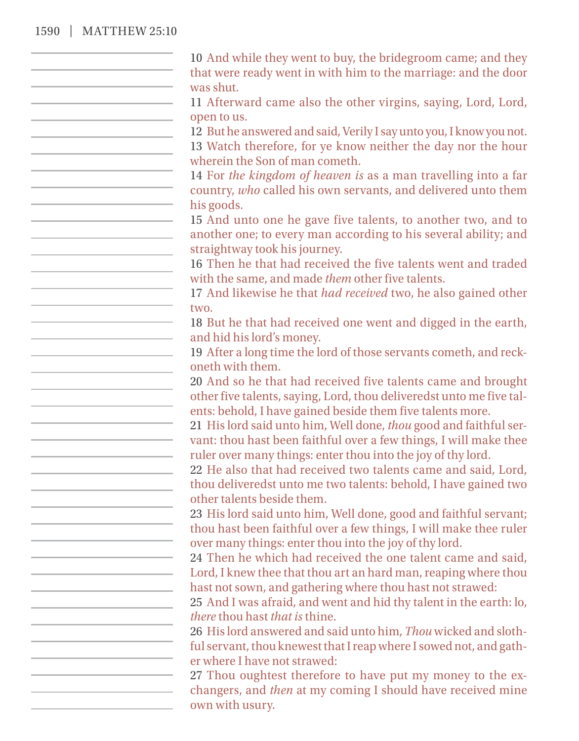#### 1590 | MATTHEW 25:10

10 And while they went to buy, the bridegroom came; and they that were ready went in with him to the marriage: and the door was shut. 11 Afterward came also the other virgins, saying, Lord, Lord, open to us. 12 But he answered and said, Verily I say unto you, I know you not. 13 Watch therefore, for ye know neither the day nor the hour wherein the Son of man cometh. 14 For *the kingdom of heaven is* as a man travelling into a far country, *who* called his own servants, and delivered unto them his goods. 15 And unto one he gave five talents, to another two, and to another one; to every man according to his several ability; and straightway took his journey. 16 Then he that had received the five talents went and traded with the same, and made *them* other five talents. 17 And likewise he that *had received* two, he also gained other two. 18 But he that had received one went and digged in the earth, and hid his lord's money. 19 After a long time the lord of those servants cometh, and reckoneth with them. 20 And so he that had received five talents came and brought other five talents, saying, Lord, thou deliveredst unto me five talents: behold, I have gained beside them five talents more. 21 His lord said unto him, Well done, *thou* good and faithful servant: thou hast been faithful over a few things, I will make thee ruler over many things: enter thou into the joy of thy lord. 22 He also that had received two talents came and said, Lord, thou deliveredst unto me two talents: behold, I have gained two other talents beside them. 23 His lord said unto him, Well done, good and faithful servant; thou hast been faithful over a few things, I will make thee ruler over many things: enter thou into the joy of thy lord. 24 Then he which had received the one talent came and said, Lord, I knew thee that thou art an hard man, reaping where thou hast not sown, and gathering where thou hast not strawed: 25 And I was afraid, and went and hid thy talent in the earth: lo, *there* thou hast *that is* thine. 26 His lord answered and said unto him, *Thou* wicked and slothful servant, thou knewest that I reap where I sowed not, and gather where I have not strawed: 27 Thou oughtest therefore to have put my money to the exchangers, and *then* at my coming I should have received mine own with usury.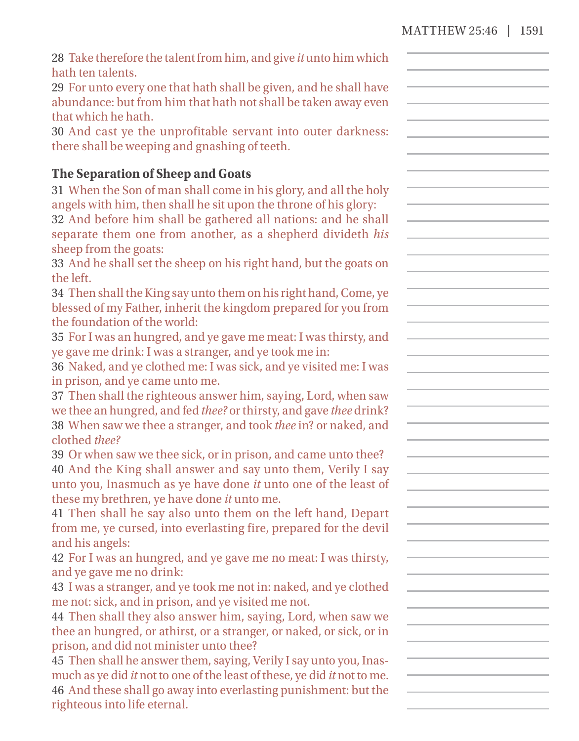| 28 Take therefore the talent from him, and give it unto him which                                                              |  |
|--------------------------------------------------------------------------------------------------------------------------------|--|
| hath ten talents.                                                                                                              |  |
| 29 For unto every one that hath shall be given, and he shall have                                                              |  |
| abundance: but from him that hath not shall be taken away even                                                                 |  |
| that which he hath.                                                                                                            |  |
| 30 And cast ye the unprofitable servant into outer darkness:                                                                   |  |
| there shall be weeping and gnashing of teeth.                                                                                  |  |
| The Separation of Sheep and Goats                                                                                              |  |
| 31 When the Son of man shall come in his glory, and all the holy                                                               |  |
| angels with him, then shall he sit upon the throne of his glory:                                                               |  |
| 32 And before him shall be gathered all nations: and he shall                                                                  |  |
| separate them one from another, as a shepherd divideth his                                                                     |  |
| sheep from the goats:                                                                                                          |  |
| 33 And he shall set the sheep on his right hand, but the goats on                                                              |  |
| the left.                                                                                                                      |  |
| 34 Then shall the King say unto them on his right hand, Come, ye                                                               |  |
| blessed of my Father, inherit the kingdom prepared for you from                                                                |  |
| the foundation of the world:                                                                                                   |  |
| 35 For I was an hungred, and ye gave me meat: I was thirsty, and                                                               |  |
| ye gave me drink: I was a stranger, and ye took me in:                                                                         |  |
| 36 Naked, and ye clothed me: I was sick, and ye visited me: I was                                                              |  |
| in prison, and ye came unto me.                                                                                                |  |
| 37 Then shall the righteous answer him, saying, Lord, when saw                                                                 |  |
| we thee an hungred, and fed thee? or thirsty, and gave thee drink?                                                             |  |
| 38 When saw we thee a stranger, and took thee in? or naked, and                                                                |  |
| clothed thee?                                                                                                                  |  |
| 39 Or when saw we thee sick, or in prison, and came unto thee?                                                                 |  |
| 40 And the King shall answer and say unto them, Verily I say<br>unto you, Inasmuch as ye have done it unto one of the least of |  |
| these my brethren, ye have done it unto me.                                                                                    |  |
| 41 Then shall he say also unto them on the left hand, Depart                                                                   |  |
| from me, ye cursed, into everlasting fire, prepared for the devil                                                              |  |
| and his angels:                                                                                                                |  |
| 42 For I was an hungred, and ye gave me no meat: I was thirsty,                                                                |  |
| and ye gave me no drink:                                                                                                       |  |
| 43 I was a stranger, and ye took me not in: naked, and ye clothed                                                              |  |
| me not: sick, and in prison, and ye visited me not.                                                                            |  |
| 44 Then shall they also answer him, saying, Lord, when saw we                                                                  |  |
| thee an hungred, or athirst, or a stranger, or naked, or sick, or in                                                           |  |
| prison, and did not minister unto thee?                                                                                        |  |
| 45 Then shall he answer them, saying, Verily I say unto you, Inas-                                                             |  |
| much as ye did it not to one of the least of these, ye did it not to me.                                                       |  |
| 46 And these shall go away into everlasting punishment: but the                                                                |  |
| righteous into life eternal.                                                                                                   |  |